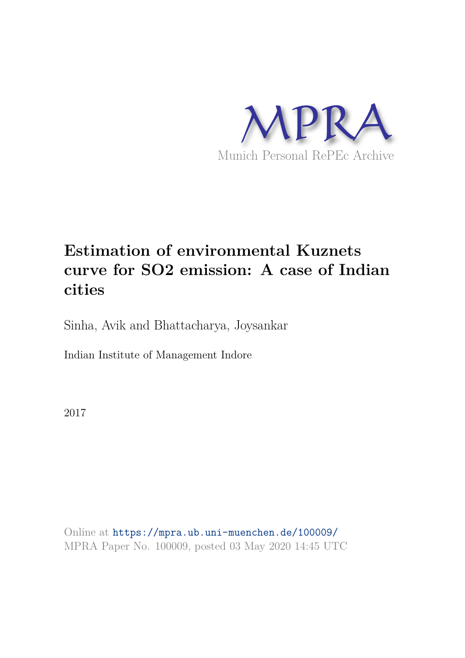

# **Estimation of environmental Kuznets curve for SO2 emission: A case of Indian cities**

Sinha, Avik and Bhattacharya, Joysankar

Indian Institute of Management Indore

2017

Online at https://mpra.ub.uni-muenchen.de/100009/ MPRA Paper No. 100009, posted 03 May 2020 14:45 UTC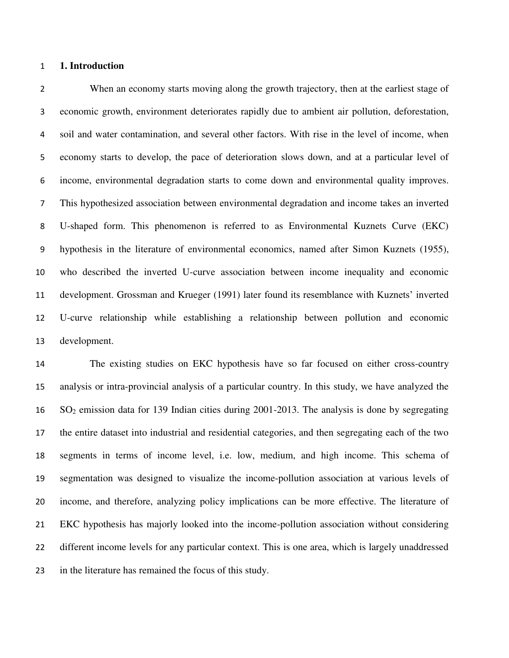#### **1. Introduction**

When an economy starts moving along the growth trajectory, then at the earliest stage of economic growth, environment deteriorates rapidly due to ambient air pollution, deforestation, soil and water contamination, and several other factors. With rise in the level of income, when economy starts to develop, the pace of deterioration slows down, and at a particular level of income, environmental degradation starts to come down and environmental quality improves. This hypothesized association between environmental degradation and income takes an inverted U-shaped form. This phenomenon is referred to as Environmental Kuznets Curve (EKC) hypothesis in the literature of environmental economics, named after Simon Kuznets (1955), who described the inverted U-curve association between income inequality and economic development. Grossman and Krueger (1991) later found its resemblance with Kuznets' inverted U-curve relationship while establishing a relationship between pollution and economic development.

 The existing studies on EKC hypothesis have so far focused on either cross-country analysis or intra-provincial analysis of a particular country. In this study, we have analyzed the SO2 emission data for 139 Indian cities during 2001-2013. The analysis is done by segregating the entire dataset into industrial and residential categories, and then segregating each of the two segments in terms of income level, i.e. low, medium, and high income. This schema of segmentation was designed to visualize the income-pollution association at various levels of income, and therefore, analyzing policy implications can be more effective. The literature of EKC hypothesis has majorly looked into the income-pollution association without considering different income levels for any particular context. This is one area, which is largely unaddressed in the literature has remained the focus of this study.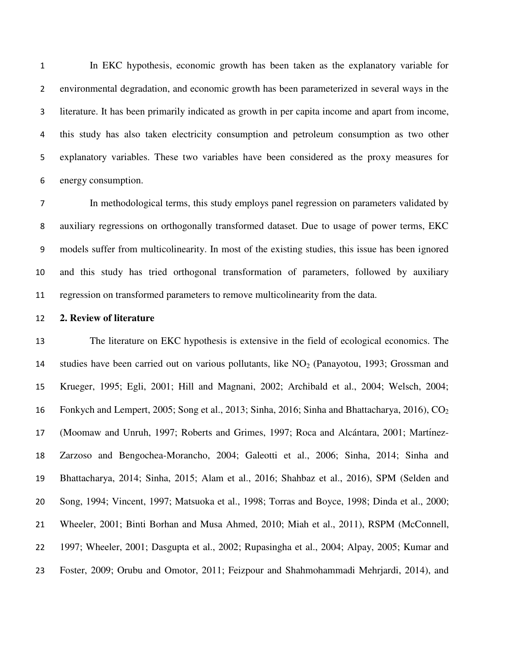In EKC hypothesis, economic growth has been taken as the explanatory variable for environmental degradation, and economic growth has been parameterized in several ways in the literature. It has been primarily indicated as growth in per capita income and apart from income, this study has also taken electricity consumption and petroleum consumption as two other explanatory variables. These two variables have been considered as the proxy measures for energy consumption.

In methodological terms, this study employs panel regression on parameters validated by auxiliary regressions on orthogonally transformed dataset. Due to usage of power terms, EKC models suffer from multicolinearity. In most of the existing studies, this issue has been ignored and this study has tried orthogonal transformation of parameters, followed by auxiliary regression on transformed parameters to remove multicolinearity from the data.

#### **2. Review of literature**

 The literature on EKC hypothesis is extensive in the field of ecological economics. The 14 studies have been carried out on various pollutants, like  $NO<sub>2</sub>$  (Panayotou, 1993; Grossman and Krueger, 1995; Egli, 2001; Hill and Magnani, 2002; Archibald et al., 2004; Welsch, 2004; 16 Fonkych and Lempert, 2005; Song et al., 2013; Sinha, 2016; Sinha and Bhattacharya, 2016), CO<sub>2</sub> 17 (Moomaw and Unruh, 1997; Roberts and Grimes, 1997; Roca and Alcántara, 2001; Martínez- Zarzoso and Bengochea-Morancho, 2004; Galeotti et al., 2006; Sinha, 2014; Sinha and Bhattacharya, 2014; Sinha, 2015; Alam et al., 2016; Shahbaz et al., 2016), SPM (Selden and Song, 1994; Vincent, 1997; Matsuoka et al., 1998; Torras and Boyce, 1998; Dinda et al., 2000; Wheeler, 2001; Binti Borhan and Musa Ahmed, 2010; Miah et al., 2011), RSPM (McConnell, 1997; Wheeler, 2001; Dasgupta et al., 2002; Rupasingha et al., 2004; Alpay, 2005; Kumar and Foster, 2009; Orubu and Omotor, 2011; Feizpour and Shahmohammadi Mehrjardi, 2014), and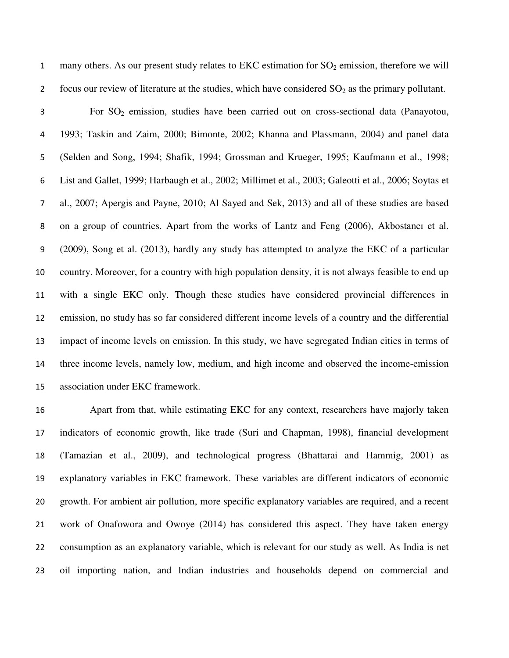1 many others. As our present study relates to EKC estimation for  $SO_2$  emission, therefore we will 2 focus our review of literature at the studies, which have considered  $SO_2$  as the primary pollutant.

For SO2 emission, studies have been carried out on cross-sectional data (Panayotou, 1993; Taskin and Zaim, 2000; Bimonte, 2002; Khanna and Plassmann, 2004) and panel data (Selden and Song, 1994; Shafik, 1994; Grossman and Krueger, 1995; Kaufmann et al., 1998; List and Gallet, 1999; Harbaugh et al., 2002; Millimet et al., 2003; Galeotti et al., 2006; Soytas et al., 2007; Apergis and Payne, 2010; Al Sayed and Sek, 2013) and all of these studies are based 8 on a group of countries. Apart from the works of Lantz and Feng (2006), Akbostanci et al. (2009), Song et al. (2013), hardly any study has attempted to analyze the EKC of a particular country. Moreover, for a country with high population density, it is not always feasible to end up with a single EKC only. Though these studies have considered provincial differences in emission, no study has so far considered different income levels of a country and the differential impact of income levels on emission. In this study, we have segregated Indian cities in terms of three income levels, namely low, medium, and high income and observed the income-emission association under EKC framework.

 Apart from that, while estimating EKC for any context, researchers have majorly taken indicators of economic growth, like trade (Suri and Chapman, 1998), financial development (Tamazian et al., 2009), and technological progress (Bhattarai and Hammig, 2001) as explanatory variables in EKC framework. These variables are different indicators of economic growth. For ambient air pollution, more specific explanatory variables are required, and a recent work of Onafowora and Owoye (2014) has considered this aspect. They have taken energy consumption as an explanatory variable, which is relevant for our study as well. As India is net oil importing nation, and Indian industries and households depend on commercial and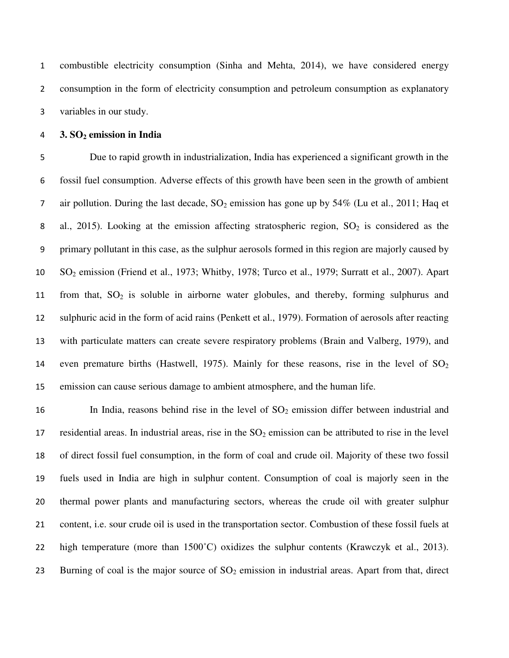combustible electricity consumption (Sinha and Mehta, 2014), we have considered energy consumption in the form of electricity consumption and petroleum consumption as explanatory variables in our study.

#### **3. SO2 emission in India**

Due to rapid growth in industrialization, India has experienced a significant growth in the fossil fuel consumption. Adverse effects of this growth have been seen in the growth of ambient 7 air pollution. During the last decade,  $SO_2$  emission has gone up by 54% (Lu et al., 2011; Haq et 8 al., 2015). Looking at the emission affecting stratospheric region,  $SO_2$  is considered as the primary pollutant in this case, as the sulphur aerosols formed in this region are majorly caused by SO2 emission (Friend et al., 1973; Whitby, 1978; Turco et al., 1979; Surratt et al., 2007). Apart 11 from that,  $SO_2$  is soluble in airborne water globules, and thereby, forming sulphurus and sulphuric acid in the form of acid rains (Penkett et al., 1979). Formation of aerosols after reacting with particulate matters can create severe respiratory problems (Brain and Valberg, 1979), and 14 even premature births (Hastwell, 1975). Mainly for these reasons, rise in the level of  $SO<sub>2</sub>$ emission can cause serious damage to ambient atmosphere, and the human life.

16 In India, reasons behind rise in the level of  $SO_2$  emission differ between industrial and 17 residential areas. In industrial areas, rise in the  $SO_2$  emission can be attributed to rise in the level of direct fossil fuel consumption, in the form of coal and crude oil. Majority of these two fossil fuels used in India are high in sulphur content. Consumption of coal is majorly seen in the thermal power plants and manufacturing sectors, whereas the crude oil with greater sulphur content, i.e. sour crude oil is used in the transportation sector. Combustion of these fossil fuels at 22 high temperature (more than  $1500^{\circ}$ C) oxidizes the sulphur contents (Krawczyk et al., 2013). 23 Burning of coal is the major source of  $SO_2$  emission in industrial areas. Apart from that, direct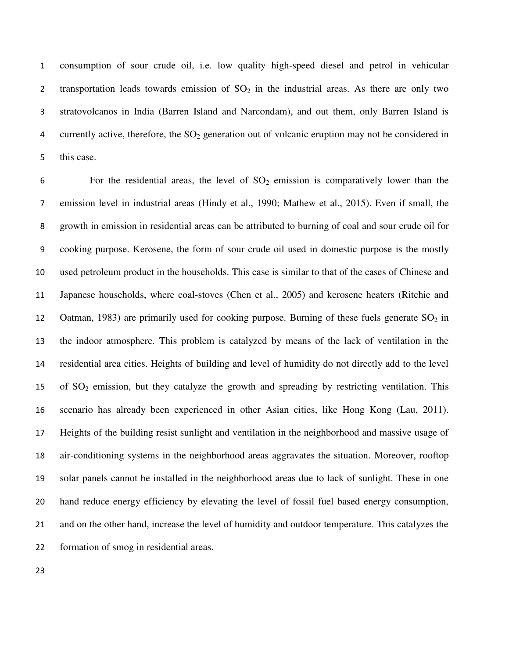consumption of sour crude oil, i.e. low quality high-speed diesel and petrol in vehicular 2 transportation leads towards emission of  $SO<sub>2</sub>$  in the industrial areas. As there are only two stratovolcanos in India (Barren Island and Narcondam), and out them, only Barren Island is 4 currently active, therefore, the  $SO<sub>2</sub>$  generation out of volcanic eruption may not be considered in this case.

6 For the residential areas, the level of  $SO_2$  emission is comparatively lower than the emission level in industrial areas (Hindy et al., 1990; Mathew et al., 2015). Even if small, the growth in emission in residential areas can be attributed to burning of coal and sour crude oil for cooking purpose. Kerosene, the form of sour crude oil used in domestic purpose is the mostly used petroleum product in the households. This case is similar to that of the cases of Chinese and Japanese households, where coal-stoves (Chen et al., 2005) and kerosene heaters (Ritchie and 12 Oatman, 1983) are primarily used for cooking purpose. Burning of these fuels generate  $SO_2$  in the indoor atmosphere. This problem is catalyzed by means of the lack of ventilation in the residential area cities. Heights of building and level of humidity do not directly add to the level 15 of  $SO_2$  emission, but they catalyze the growth and spreading by restricting ventilation. This scenario has already been experienced in other Asian cities, like Hong Kong (Lau, 2011). Heights of the building resist sunlight and ventilation in the neighborhood and massive usage of air-conditioning systems in the neighborhood areas aggravates the situation. Moreover, rooftop solar panels cannot be installed in the neighborhood areas due to lack of sunlight. These in one hand reduce energy efficiency by elevating the level of fossil fuel based energy consumption, and on the other hand, increase the level of humidity and outdoor temperature. This catalyzes the formation of smog in residential areas.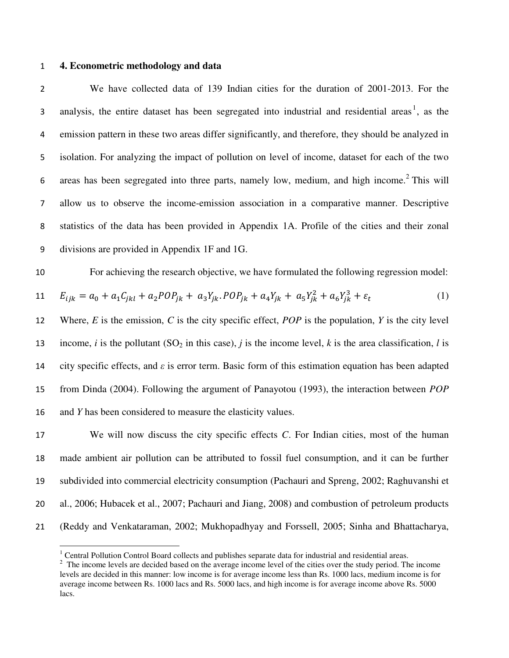#### **4. Econometric methodology and data**

 $\overline{a}$ 

We have collected data of 139 Indian cities for the duration of 2001-2013. For the analysis, the entire dataset has been segregated into industrial and residential areas<sup>1</sup>, as the emission pattern in these two areas differ significantly, and therefore, they should be analyzed in isolation. For analyzing the impact of pollution on level of income, dataset for each of the two 6 areas has been segregated into three parts, namely low, medium, and high income.<sup>2</sup> This will allow us to observe the income-emission association in a comparative manner. Descriptive statistics of the data has been provided in Appendix 1A. Profile of the cities and their zonal divisions are provided in Appendix 1F and 1G.

For achieving the research objective, we have formulated the following regression model:  
\n
$$
E_{ijk} = a_0 + a_1 C_{jkl} + a_2 POP_{jk} + a_3 Y_{jk} \cdot POP_{jk} + a_4 Y_{jk} + a_5 Y_{jk}^2 + a_6 Y_{jk}^3 + \varepsilon_t
$$
\n(1)

 Where, *E* is the emission, *C* is the city specific effect, *POP* is the population, *Y* is the city level 13 income, *i* is the pollutant (SO<sub>2</sub> in this case), *j* is the income level, *k* is the area classification, *l* is city specific effects, and *ε* is error term. Basic form of this estimation equation has been adapted from Dinda (2004). Following the argument of Panayotou (1993), the interaction between *POP* and *Y* has been considered to measure the elasticity values.

 We will now discuss the city specific effects *C*. For Indian cities, most of the human made ambient air pollution can be attributed to fossil fuel consumption, and it can be further subdivided into commercial electricity consumption (Pachauri and Spreng, 2002; Raghuvanshi et al., 2006; Hubacek et al., 2007; Pachauri and Jiang, 2008) and combustion of petroleum products (Reddy and Venkataraman, 2002; Mukhopadhyay and Forssell, 2005; Sinha and Bhattacharya,

<sup>&</sup>lt;sup>1</sup> Central Pollution Control Board collects and publishes separate data for industrial and residential areas.

 $2<sup>2</sup>$  The income levels are decided based on the average income level of the cities over the study period. The income levels are decided in this manner: low income is for average income less than Rs. 1000 lacs, medium income is for average income between Rs. 1000 lacs and Rs. 5000 lacs, and high income is for average income above Rs. 5000 lacs.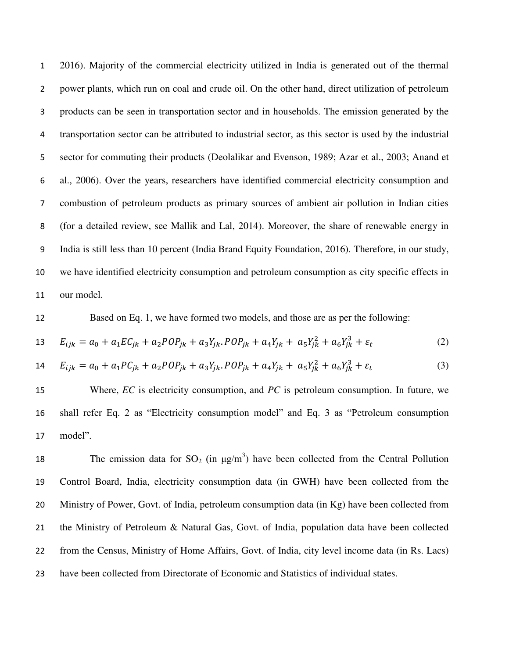2016). Majority of the commercial electricity utilized in India is generated out of the thermal power plants, which run on coal and crude oil. On the other hand, direct utilization of petroleum products can be seen in transportation sector and in households. The emission generated by the transportation sector can be attributed to industrial sector, as this sector is used by the industrial sector for commuting their products (Deolalikar and Evenson, 1989; Azar et al., 2003; Anand et al., 2006). Over the years, researchers have identified commercial electricity consumption and combustion of petroleum products as primary sources of ambient air pollution in Indian cities (for a detailed review, see Mallik and Lal, 2014). Moreover, the share of renewable energy in India is still less than 10 percent (India Brand Equity Foundation, 2016). Therefore, in our study, we have identified electricity consumption and petroleum consumption as city specific effects in our model.

Based on Eq. 1, we have formed two models, and those are as per the following:

13 
$$
E_{ijk} = a_0 + a_1 E C_{jk} + a_2 P O P_{jk} + a_3 Y_{jk} P O P_{jk} + a_4 Y_{jk} + a_5 Y_{jk}^2 + a_6 Y_{jk}^3 + \varepsilon_t
$$
 (2)

14 
$$
E_{ijk} = a_0 + a_1 P C_{jk} + a_2 P O P_{jk} + a_3 Y_{jk} P O P_{jk} + a_4 Y_{jk} + a_5 Y_{jk}^2 + a_6 Y_{jk}^3 + \varepsilon_t
$$
 (3)

15 Where, *EC* is electricity consumption, and *PC* is petroleum consumption. In future, we 16 shall refer Eq. 2 as "Electricity consumption model" and Eq. 3 as "Petroleum consumption 17 model".

18 The emission data for  $SO_2$  (in  $\mu g/m^3$ ) have been collected from the Central Pollution Control Board, India, electricity consumption data (in GWH) have been collected from the Ministry of Power, Govt. of India, petroleum consumption data (in Kg) have been collected from the Ministry of Petroleum & Natural Gas, Govt. of India, population data have been collected from the Census, Ministry of Home Affairs, Govt. of India, city level income data (in Rs. Lacs) have been collected from Directorate of Economic and Statistics of individual states.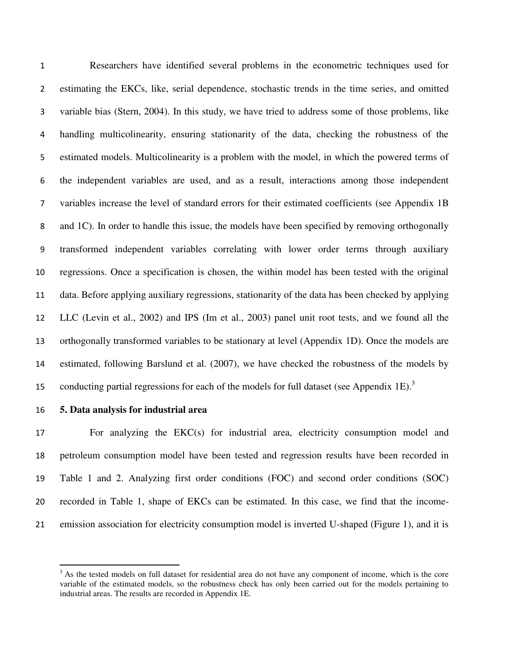Researchers have identified several problems in the econometric techniques used for estimating the EKCs, like, serial dependence, stochastic trends in the time series, and omitted variable bias (Stern, 2004). In this study, we have tried to address some of those problems, like handling multicolinearity, ensuring stationarity of the data, checking the robustness of the estimated models. Multicolinearity is a problem with the model, in which the powered terms of the independent variables are used, and as a result, interactions among those independent variables increase the level of standard errors for their estimated coefficients (see Appendix 1B and 1C). In order to handle this issue, the models have been specified by removing orthogonally transformed independent variables correlating with lower order terms through auxiliary regressions. Once a specification is chosen, the within model has been tested with the original data. Before applying auxiliary regressions, stationarity of the data has been checked by applying LLC (Levin et al., 2002) and IPS (Im et al., 2003) panel unit root tests, and we found all the orthogonally transformed variables to be stationary at level (Appendix 1D). Once the models are estimated, following Barslund et al. (2007), we have checked the robustness of the models by conducting partial regressions for each of the models for full dataset (see Appendix 1E).<sup>3</sup> 

l

#### **5. Data analysis for industrial area**

 For analyzing the EKC(s) for industrial area, electricity consumption model and petroleum consumption model have been tested and regression results have been recorded in Table 1 and 2. Analyzing first order conditions (FOC) and second order conditions (SOC) recorded in Table 1, shape of EKCs can be estimated. In this case, we find that the income-emission association for electricity consumption model is inverted U-shaped (Figure 1), and it is

<sup>&</sup>lt;sup>3</sup> As the tested models on full dataset for residential area do not have any component of income, which is the core variable of the estimated models, so the robustness check has only been carried out for the models pertaining to industrial areas. The results are recorded in Appendix 1E.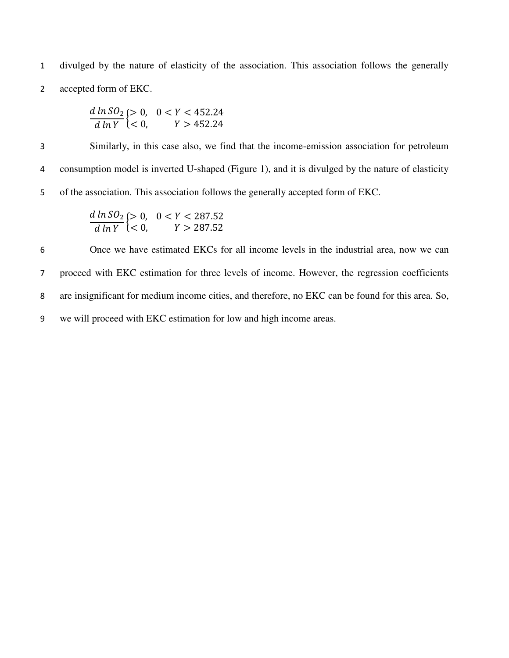1 divulged by the nature of elasticity of the association. This association follows the generally 2 accepted form of EKC.

$$
\frac{d \ln SO_2}{d \ln Y} > 0, \quad 0 < Y < 452.24 \\
\frac{d \ln Y}{d \ln Y} < 0, \quad Y > 452.24
$$

3 Similarly, in this case also, we find that the income-emission association for petroleum 4 consumption model is inverted U-shaped (Figure 1), and it is divulged by the nature of elasticity 5 of the association. This association follows the generally accepted form of EKC.

$$
\frac{d \ln SO_2}{d \ln Y} > 0, \quad 0 < Y < 287.52
$$
\n
$$
\frac{d \ln V}{d \ln Y} < 0, \quad Y > 287.52
$$

Once we have estimated EKCs for all income levels in the industrial area, now we can proceed with EKC estimation for three levels of income. However, the regression coefficients are insignificant for medium income cities, and therefore, no EKC can be found for this area. So, we will proceed with EKC estimation for low and high income areas.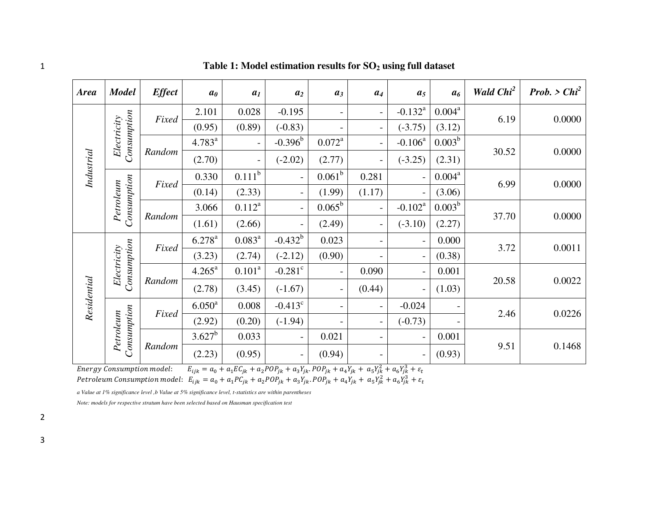*Area Model Effect a<sup>0</sup> a<sup>1</sup> a<sup>2</sup> a<sup>3</sup> a<sup>4</sup> a<sup>5</sup> a<sup>6</sup> Wald Chi<sup>2</sup> Prob. > Chi<sup>2</sup>*  $2.101$  0.028 -0.195 - - - - -0.132<sup>a</sup>  $0.004^a$ *Consumption Electricity Fixed*  6.19 0.0000  $(0.95)$   $(0.89)$   $(-0.83)$   $(-3.75)$   $(3.12)$  $-0.396^b$  $0.003^b$ 4.783<sup>a</sup>  $0.072^{\rm a}$  $-$  0.106<sup>a</sup> *Industrial Random*  30.52 0.0000  $(2.70)$  - (-2.02) (2.77) - (-3.25) (2.31)  $0.330$   $0.111^b$  $0.061^b$  $0.281$  - 0.004<sup>a</sup> *Consumption Petroleum Fixed*  6.99 0.0000  $(0.14)$   $(2.33)$  -  $(1.99)$   $(1.17)$  -  $(3.06)$  $0.003^b$  $3.066$  0.112<sup>a</sup>  $- | 0.065^b$  $-0.102^a$ 37.70 0.0000 *Random*   $(1.61)$   $(2.66)$  -  $(2.49)$  -  $(-3.10)$   $(2.27)$  $-0.432^b$ 6.278<sup>a</sup>  $0.083^a$  $0.023$  - 0.000 *Consumption Electricity*  3.72 0.0011 *Fixed*   $(3.23)$   $(2.74)$   $(-2.12)$   $(0.90)$   $(0.38)$  $4.265^{\text{a}}$  $0.101^a$  $-0.281$ <sup>c</sup>  $- 0.090$   $- 0.001$ *Residential*  Residential *Random*  20.58 0.0022  $(2.78)$   $(3.45)$   $(-1.67)$   $(0.44)$   $(1.03)$  $6.050^{\text{a}}$  $0.008$   $-0.413^c$  $-0.024$ *Consumption Petroleum Fixed*  2.46 0.0226  $(2.92)$   $(0.20)$   $(-1.94)$   $(-0.73)$   $3.627^b$  $0.033$  - 0.021 - - 0.001 9.51 0.1468 *Random*   $(2.23)$   $(0.95)$  -  $(0.94)$  -  $(0.93)$ 

1 **Table 1: Model estimation results for SO2 using full dataset** 

Energy Consumption model:  $h^2 + a_c Y_0^3$ 

Petroleum Consumption model:  $E_{ijk} = a_0 + a_1PC_{jk} + a_2POP_{jk} + a_3Y_{jk}$ . POP $_{jk} + a_4Y_{jk} + a_5Y_{jk}^2 + a_6Y_{jk}^3$ 

*a Value at 1% significance level ,b Value at 5% significance level, t-statistics are within parentheses* 

*Note: models for respective stratum have been selected based on Hausman specification test*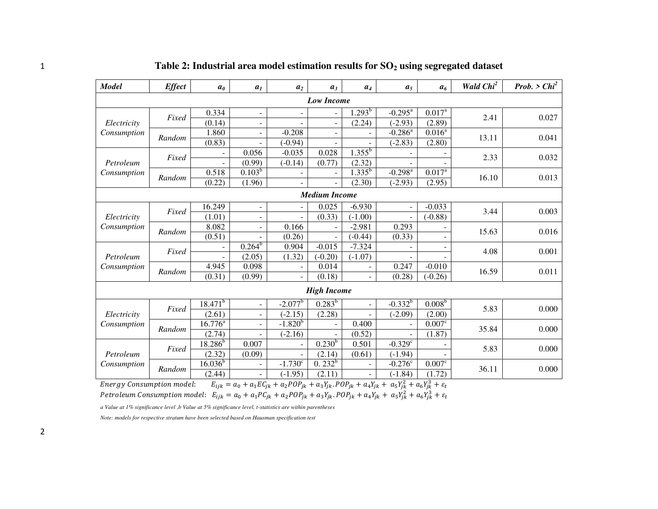| <b>Model</b>              | <b>Effect</b>     | a <sub>0</sub>   | a <sub>1</sub>               | a <sub>2</sub>           | $a_3$                    | $a_4$                    | a <sub>5</sub>                                                                                                                   | a <sub>6</sub>     | Wald Chi <sup>2</sup> | Prob. > $Chi^2$ |
|---------------------------|-------------------|------------------|------------------------------|--------------------------|--------------------------|--------------------------|----------------------------------------------------------------------------------------------------------------------------------|--------------------|-----------------------|-----------------|
|                           | <b>Low Income</b> |                  |                              |                          |                          |                          |                                                                                                                                  |                    |                       |                 |
|                           | Fixed             | 0.334            | $\qquad \qquad \blacksquare$ | $\overline{\phantom{a}}$ | $\overline{\phantom{a}}$ | $1.293^b$                | $-0.295^{\text{a}}$                                                                                                              | 0.017 <sup>a</sup> | 2.41                  | 0.027           |
| Electricity               |                   | (0.14)           | $\overline{\phantom{a}}$     |                          | $\overline{\phantom{a}}$ | (2.24)                   | $(-2.93)$                                                                                                                        | (2.89)             |                       |                 |
| Consumption               | Random            | 1.860            | $\overline{\phantom{0}}$     | $-0.208$                 |                          |                          | $-0.286^{\overline{a}}$                                                                                                          | $0.016^{a}$        | 13.11                 | 0.041           |
|                           |                   | (0.83)           |                              | $(-0.94)$                |                          |                          | $(-2.83)$                                                                                                                        | (2.80)             |                       |                 |
|                           | Fixed             |                  | 0.056                        | $-0.035$                 | 0.028                    | $1.355^{b}$              |                                                                                                                                  |                    | 2.33                  | 0.032           |
| Petroleum                 |                   |                  | (0.99)                       | $(-0.14)$                | (0.77)                   | (2.32)                   |                                                                                                                                  |                    |                       |                 |
| Consumption               | Random            | 0.518            | $0.103^{b}$                  |                          |                          | $1.335^{b}$              | $-0.298$ <sup>a</sup>                                                                                                            | $0.017^{a}$        |                       | 0.013           |
|                           |                   | (0.22)           | (1.96)                       |                          | $\overline{\phantom{a}}$ | (2.30)                   | $(-2.93)$                                                                                                                        | (2.95)             | 16.10                 |                 |
|                           |                   |                  |                              |                          | <b>Medium Income</b>     |                          |                                                                                                                                  |                    |                       |                 |
|                           |                   | 16.249           | $\overline{\phantom{0}}$     | $\blacksquare$           | 0.025                    | $-6.930$                 | $\overline{\phantom{a}}$                                                                                                         | $-0.033$           | 0.003<br>3.44         |                 |
| Electricity               | Fixed             | (1.01)           | $\overline{\phantom{m}}$     |                          | (0.33)                   | $(-1.00)$                |                                                                                                                                  | $(-0.88)$          |                       |                 |
| Consumption               |                   | 8.082            | $\qquad \qquad \blacksquare$ | 0.166                    |                          | $-2.981$                 | 0.293                                                                                                                            |                    |                       |                 |
|                           | Random            | (0.51)           | $\overline{\phantom{0}}$     | (0.26)                   | $\overline{a}$           | $(-0.44)$                | (0.33)                                                                                                                           |                    | 15.63                 | 0.016           |
|                           | Fixed             |                  | $0.264^{b}$                  | 0.904                    | $-0.015$                 | $-7.324$                 |                                                                                                                                  |                    | 4.08                  | 0.001           |
| Petroleum                 |                   |                  | (2.05)                       | (1.32)                   | $(-0.20)$                | $(-1.07)$                |                                                                                                                                  |                    |                       |                 |
| Consumption               | Random            | 4.945            | 0.098                        |                          | 0.014                    |                          | 0.247                                                                                                                            | $-0.010$           | 16.59                 | 0.011           |
|                           |                   | (0.31)           | (0.99)                       | $\overline{\phantom{a}}$ | (0.18)                   | $\overline{\phantom{a}}$ | (0.28)                                                                                                                           | $(-0.26)$          |                       |                 |
|                           |                   |                  |                              |                          | <b>High Income</b>       |                          |                                                                                                                                  |                    |                       |                 |
|                           |                   | $18.471^{b}$     | $\overline{\phantom{a}}$     | $-2.077^{b}$             | $0.283^{b}$              |                          | $-0.332^{b}$                                                                                                                     | $0.008^{b}$        |                       |                 |
| Electricity               | Fixed             | (2.61)           | $\overline{\phantom{a}}$     | $(-2.15)$                | (2.28)                   |                          | $(-2.09)$                                                                                                                        | (2.00)             | 5.83                  | 0.000           |
| Consumption               |                   | $16.776^{\circ}$ | L.                           | $-1.820^{b}$             |                          | 0.400                    |                                                                                                                                  | 0.007 <sup>c</sup> |                       |                 |
|                           | Random            | (2.74)           | $\overline{\phantom{a}}$     | $(-2.16)$                |                          | (0.52)                   |                                                                                                                                  | (1.87)             | 35.84                 | 0.000           |
|                           |                   | $18.286^{b}$     | 0.007                        |                          | $0.230^{b}$              | 0.501                    | $-0.329^{\circ}$                                                                                                                 |                    |                       |                 |
| Petroleum                 | Fixed             | (2.32)           | (0.09)                       |                          | (2.14)                   | (0.61)                   | $(-1.94)$                                                                                                                        |                    | 5.83                  | 0.000           |
| Consumption               |                   | $16.036^{b}$     |                              | $-1.730^{\overline{c}}$  | $0.232^{b}$              |                          | $-0.276^{\overline{c}}$                                                                                                          | 0.007 <sup>c</sup> |                       |                 |
|                           | Random            | (2.44)           |                              | $(-1.95)$                | (2.11)                   |                          | $(-1.84)$                                                                                                                        | (1.72)             | 36.11                 | 0.000           |
| Energy Consumption model. |                   |                  |                              |                          |                          |                          | $F_{11} = a_2 + a_3 F C_1 + a_2 P O P_2 + a_3 Y_1$ $P O P_2 + a_3 Y_1 + a_4 Y_2 + a_5 Y_1^2 + a_6 Y_2^3 + s_6 Y_2^2 + a_7 Y_2^3$ |                    |                       |                 |

1 **Table 2: Industrial area model estimation results for SO2 using segregated dataset** 

Energy Consumption model:  $E_{ijk} = a_0 + a_1 E C_{jk} + a_2 P O P_{jk} + a_3 Y_{jk}$ .  $P O P_{jk} + a_4 Y_{jk} + a_5 Y_{jk}^2 + a_6 Y_{jk}^3$ Petroleum Consumption model:  $E_{ijk} = a_0 + a_1PC_{jk} + a_2POP_{jk} + a_3Y_{jk}$ .POP $_{jk} + a_4Y_{jk} + a_5Y_{jk}^2 + a_6Y_{jk}^3$ 

*a Value at 1% significance level ,b Value at 5% significance level, t-statistics are within parentheses* 

*Note: models for respective stratum have been selected based on Hausman specification test*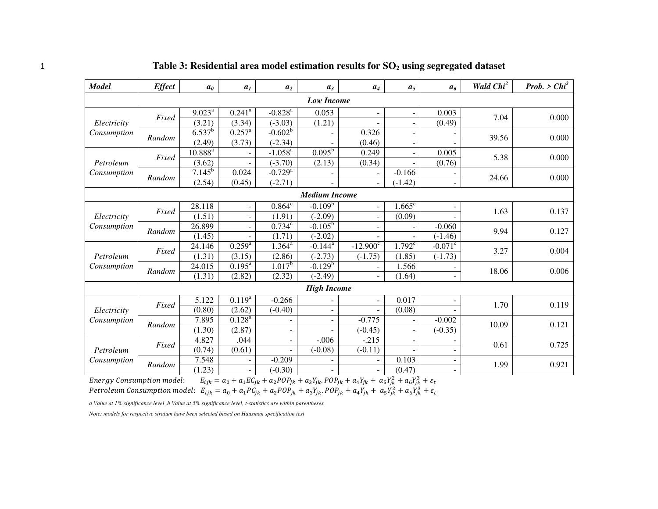| <b>Model</b>               | <b>Effect</b>     | a <sub>0</sub>     | a <sub>1</sub>           | a <sub>2</sub>        | $a_3$                | $a_4$                    | a <sub>5</sub>               | a <sub>6</sub>           | Wald Chi <sup>2</sup> | <i>Prob.</i> > $Chi^2$ |
|----------------------------|-------------------|--------------------|--------------------------|-----------------------|----------------------|--------------------------|------------------------------|--------------------------|-----------------------|------------------------|
|                            | <b>Low Income</b> |                    |                          |                       |                      |                          |                              |                          |                       |                        |
|                            | Fixed             | $9.023^{\text{a}}$ | $0.241$ <sup>a</sup>     | $-0.828$ <sup>a</sup> | 0.053                | $\overline{\phantom{m}}$ | $\blacksquare$               | 0.003                    | 7.04                  | 0.000                  |
| Electricity                |                   | (3.21)             | (3.34)                   | $(-3.03)$             | (1.21)               |                          | $\qquad \qquad \blacksquare$ | (0.49)                   |                       |                        |
| Consumption                | Random            | $6.537^{b}$        | $0.257^{\rm a}$          | $-0.602^b$            |                      | 0.326                    | $\overline{\phantom{a}}$     |                          | 39.56                 | 0.000                  |
|                            |                   | (2.49)             | (3.73)                   | $(-2.34)$             |                      | (0.46)                   | $\qquad \qquad \blacksquare$ |                          |                       |                        |
|                            | Fixed             | $10.888^{a}$       |                          | $-1.058^{a}$          | $0.095^{\rm b}$      | 0.249                    | $\blacksquare$               | 0.005                    | 5.38                  | 0.000                  |
| Petroleum                  |                   | (3.62)             |                          | $(-3.70)$             | (2.13)               | (0.34)                   | $\overline{\phantom{a}}$     | (0.76)                   |                       |                        |
| Consumption                | Random            | $7.145^{b}$        | 0.024                    | $-0.729$ <sup>a</sup> |                      |                          | $-0.166$                     |                          | 24.66                 | 0.000                  |
|                            |                   | (2.54)             | (0.45)                   | $(-2.71)$             |                      | $\overline{\phantom{a}}$ | $(-1.42)$                    | ۰                        |                       |                        |
|                            |                   |                    |                          |                       | <b>Medium Income</b> |                          |                              |                          |                       |                        |
|                            | Fixed             | 28.118             | $\overline{\phantom{a}}$ | $0.864^c$             | $-0.109b$            | $\overline{\phantom{a}}$ | $1.665^{\circ}$              | $\overline{\phantom{0}}$ |                       | 0.137                  |
| Electricity<br>Consumption |                   | (1.51)             | $\overline{\phantom{a}}$ | (1.91)                | $(-2.09)$            | $\overline{\phantom{a}}$ | (0.09)                       |                          | 1.63<br>9.94          |                        |
|                            | Random            | 26.899             |                          | $0.734^c$             | $-0.105^{\rm b}$     | ÷.                       | $\overline{a}$               | $-0.060$                 |                       | 0.127                  |
|                            |                   | (1.45)             |                          | (1.71)                | $(-2.02)$            |                          |                              | $(-1.46)$                |                       |                        |
|                            | Fixed             | 24.146             | $0.259^{a}$              | $1.364^a$             | $-0.144^{\text{a}}$  | $-12.900^{\circ}$        | $1.792^c$                    | $-0.071$ <sup>c</sup>    | 3.27                  | 0.004                  |
| Petroleum                  |                   | (1.31)             | (3.15)                   | (2.86)                | $(-2.73)$            | $(-1.75)$                | (1.85)                       | $(-1.73)$                |                       |                        |
| Consumption                | Random            | 24.015             | $0.195^{\text{a}}$       | $1.017^{b}$           | $-0.129b$            |                          | 1.566                        |                          | 18.06                 | 0.006                  |
|                            |                   | (1.31)             | (2.82)                   | (2.32)                | $(-2.49)$            |                          | (1.64)                       |                          |                       |                        |
|                            |                   |                    |                          |                       | <b>High Income</b>   |                          |                              |                          |                       |                        |
|                            | Fixed             | 5.122              | $0.119^{a}$              | $-0.266$              |                      | $\overline{\phantom{a}}$ | 0.017                        |                          | 1.70                  | 0.119                  |
| Electricity                |                   | (0.80)             | (2.62)                   | $(-0.40)$             |                      |                          | (0.08)                       |                          |                       |                        |
| Consumption                | Random            | 7.895              | $0.128^{a}$              |                       |                      | $-0.775$                 | $\overline{\phantom{a}}$     | $-0.002$                 | 10.09                 | 0.121                  |
|                            |                   | (1.30)             | (2.87)                   |                       |                      | $(-0.45)$                | $\overline{\phantom{a}}$     | $(-0.35)$                |                       |                        |
|                            | Fixed             | 4.827              | .044                     |                       | $-.006$              | $-.215$                  | $\qquad \qquad \blacksquare$ |                          | 0.61                  | 0.725                  |
| Petroleum                  |                   | (0.74)             | (0.61)                   |                       | $(-0.08)$            | $(-0.11)$                | $\sim$                       |                          |                       |                        |
| Consumption                | Random            | 7.548              |                          | $-0.209$              |                      |                          | 0.103                        |                          | 1.99                  | 0.921                  |
|                            |                   | (1.23)             |                          | $(-0.30)$             |                      | $\overline{\phantom{a}}$ | (0.47)                       |                          |                       |                        |

|  |  |  |  | Table 3: Residential area model estimation results for $SO2$ using segregated dataset |
|--|--|--|--|---------------------------------------------------------------------------------------|
|--|--|--|--|---------------------------------------------------------------------------------------|

Energy Consumption model:  $E_{ijk} = a_0 + a_1 E C_{jk} + a_2 P O P_{jk} + a_3 Y_{jk}$ .  $POP_{jk} + a_4 Y_{jk} + a_5 Y_{jk}^2 + a_6 Y_{jk}^3$ 

Petroleum Consumption model:  $E_{ijk} = a_0 + a_1PC_{jk} + a_2POP_{jk} + a_3Y_{jk}$ . POP $_{jk} + a_4Y_{jk} + a_5Y_{jk}^2 + a_6Y_{jk}^3$ 

*a Value at 1% significance level ,b Value at 5% significance level, t-statistics are within parentheses* 

*Note: models for respective stratum have been selected based on Hausman specification test*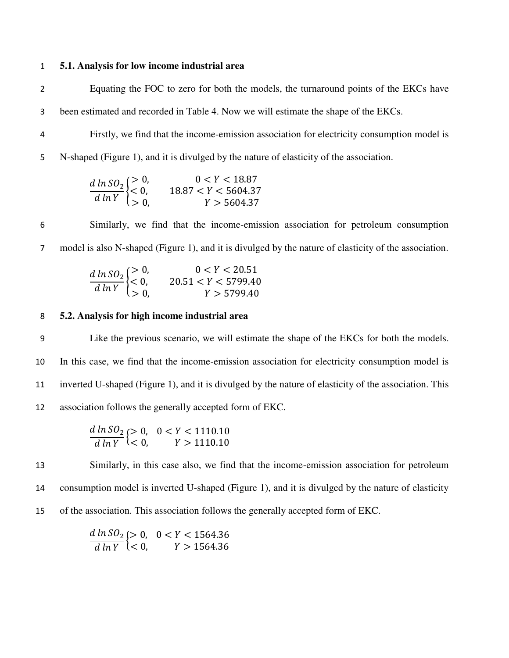#### 1 **5.1. Analysis for low income industrial area**

2 Equating the FOC to zero for both the models, the turnaround points of the EKCs have

3 been estimated and recorded in Table 4. Now we will estimate the shape of the EKCs.

4 Firstly, we find that the income-emission association for electricity consumption model is

5 N-shaped (Figure 1), and it is divulged by the nature of elasticity of the association.

$$
\frac{d \ln SO_2}{d \ln Y} \begin{cases} > 0, & 0 < Y < 18.87 \\ < 0, & 18.87 < Y < 5604.37 \\ > 0, & Y > 5604.37 \end{cases}
$$

6 Similarly, we find that the income-emission association for petroleum consumption 7 model is also N-shaped (Figure 1), and it is divulged by the nature of elasticity of the association.

$$
\frac{d \ln SO_2}{d \ln Y} \begin{cases} > 0, & 0 < Y < 20.51 \\ < 0, & 20.51 < Y < 5799.40 \\ > 0, & Y > 5799.40 \end{cases}
$$

## 8 **5.2. Analysis for high income industrial area**

Like the previous scenario, we will estimate the shape of the EKCs for both the models. In this case, we find that the income-emission association for electricity consumption model is inverted U-shaped (Figure 1), and it is divulged by the nature of elasticity of the association. This association follows the generally accepted form of EKC.

$$
\frac{d \ln SO_2}{d \ln Y} \begin{cases} > 0, \quad 0 < Y < 1110.10\\ < 0, \quad Y > 1110.10 \end{cases}
$$

13 Similarly, in this case also, we find that the income-emission association for petroleum 14 consumption model is inverted U-shaped (Figure 1), and it is divulged by the nature of elasticity 15 of the association. This association follows the generally accepted form of EKC.

> $\boldsymbol{d}$  $\boldsymbol{d}$ {><br>}<  $\leq$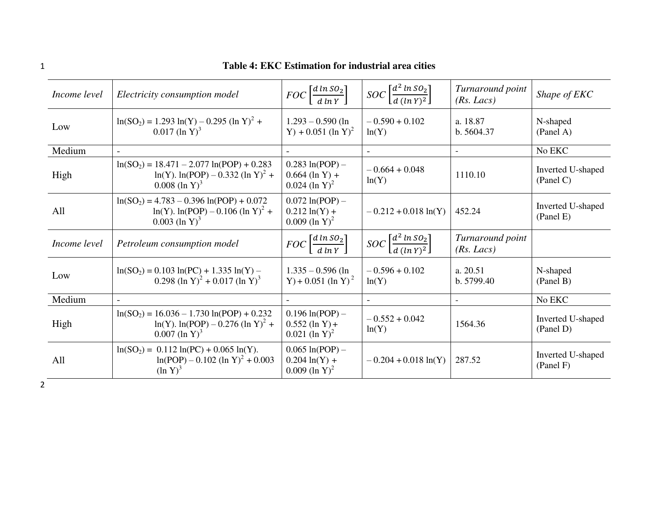| Income level | Electricity consumption model                                                                                         | $FOC\left[\frac{d \ln SO_2}{d \ln Y}\right]$                           | $SOC\left[\frac{d^2 \ln SO_2}{d \left(\ln Y\right)^2}\right]$ | Turnaround point<br>(Rs. Lacs) | Shape of EKC                   |
|--------------|-----------------------------------------------------------------------------------------------------------------------|------------------------------------------------------------------------|---------------------------------------------------------------|--------------------------------|--------------------------------|
| Low          | $\ln(SO_2) = 1.293 \ln(Y) - 0.295 (\ln Y)^2 + 0.017 (\ln Y)^3$                                                        | $1.293 - 0.590$ (ln<br>Y) + 0.051 (ln Y) <sup>2</sup>                  | $-0.590 + 0.102$<br>ln(Y)                                     | a. 18.87<br>b.5604.37          | N-shaped<br>(Panel A)          |
| Medium       |                                                                                                                       |                                                                        |                                                               |                                | No EKC                         |
| High         | $ln(SO2) = 18.471 - 2.077 ln(POP) + 0.283$<br>$ln(Y)$ . $ln(POP) - 0.332$ $(ln Y)^2 +$<br>$0.008$ (ln Y) <sup>3</sup> | $0.283 \ln (POP) -$<br>$0.664$ (ln Y) +<br>$0.024$ (ln Y) <sup>2</sup> | $-0.664 + 0.048$<br>ln(Y)                                     | 1110.10                        | Inverted U-shaped<br>(Panel C) |
| All          | $ln(SO_2) = 4.783 - 0.396 ln(POP) + 0.072$<br>$ln(Y)$ . $ln(POP) - 0.106$ $(ln Y)^2 +$<br>$0.003$ (ln Y) <sup>3</sup> | $0.072 \ln (POP) -$<br>$0.212 \ln(Y) +$<br>$0.009$ (ln Y) <sup>2</sup> | $-0.212 + 0.018 \ln(Y)$                                       | 452.24                         | Inverted U-shaped<br>(Panel E) |

 $\frac{a}{\sqrt{a}}$  $\boldsymbol{d}$ 

 $1.335 - 0.596$  (ln  $Y$ ) + 0.051 (ln Y)<sup>2</sup>

Medium |-  $\vert$  -  $\vert$  -  $\vert$  -  $\vert$  -  $\vert$  -  $\vert$  -  $\vert$  -  $\vert$  No EKC

 $0.196 \ln(POP) 0.552$  (ln Y) +  $0.021$  (ln Y)<sup>2</sup>

 $0.065 \ln(POP) 0.204 \ln(Y) +$  $0.009$  (ln Y)<sup>2</sup>

 $\Big| \ \ \ \Big| \ \ \text{SOC} \left[ \frac{d^2 l}{d l} \right]$ 

 $ln(Y)$ 

 $\frac{1}{d (ln Y)^2}$ 

 $-0.596 + 0.102$ 

 $-0.552 + 0.042$ 

*Turnaround point* 

 $\begin{array}{|l|l|}\n-0.552 + 0.042 \\
\hline\n\ln(Y) & 1564.36\n\end{array}$  Inverted U-shaped (Panel D)

 $-0.204 + 0.018 \ln(Y)$  287.52 Inverted U-shaped

N-shaped (Panel B)

(Panel D)

(Panel F)

*(Rs. Lacs)* 

a. 20.51 b. 5799.40

# 1 **Table 4: EKC Estimation for industrial area cities**

High

All

2

*Income level* | *Petroleum consumption model* 

Low  $\ln(SO_2) = 0.103 \ln(PC) + 1.335 \ln(Y) - 0.200 (4 \cdot \text{V})^2 - 0.017 (4 \cdot \text{V})^3$ 

0.298 (ln Y)<sup>2</sup> + 0.017 (ln Y)<sup>3</sup>

 $ln(Y)$ .  $ln(POP) - 0.276$   $(ln Y)^2 +$ 

 $ln(POP) - 0.102$   $(ln Y)^{2} + 0.003$ 

 $ln(SO<sub>2</sub>) = 16.036 - 1.730 ln(POP) + 0.232$ 

 $0.007$  (ln Y)<sup>3</sup>

 $(\ln Y)^3$ 

 $ln(SO_2) = 0.112 ln(PC) + 0.065 ln(Y).$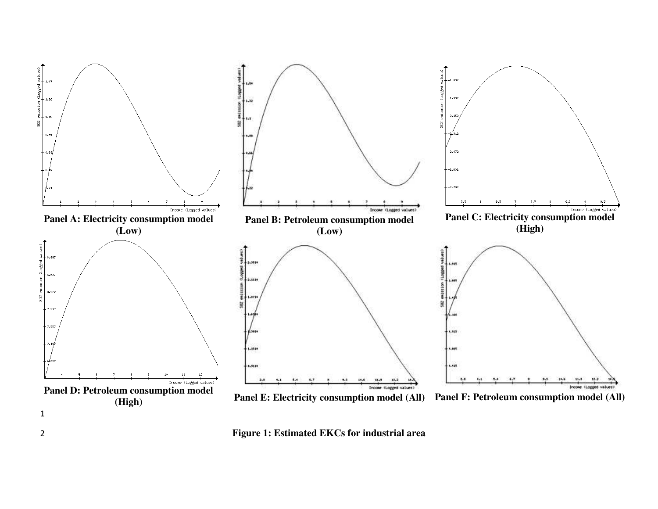

2 **Figure 1: Estimated EKCs for industrial area**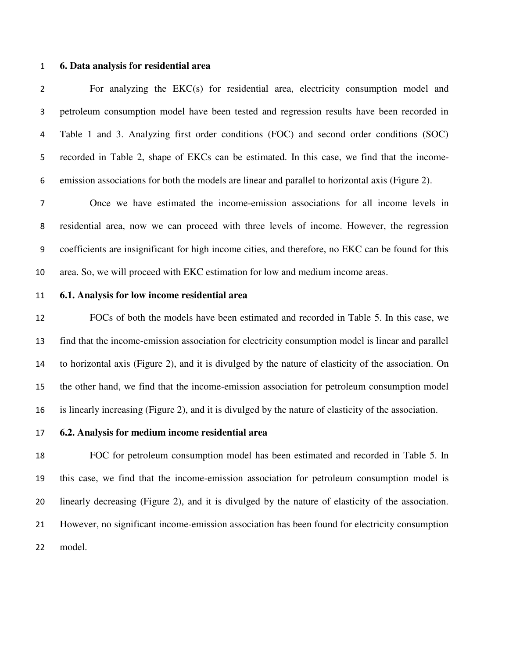#### **6. Data analysis for residential area**

For analyzing the EKC(s) for residential area, electricity consumption model and petroleum consumption model have been tested and regression results have been recorded in Table 1 and 3. Analyzing first order conditions (FOC) and second order conditions (SOC) recorded in Table 2, shape of EKCs can be estimated. In this case, we find that the income-emission associations for both the models are linear and parallel to horizontal axis (Figure 2).

Once we have estimated the income-emission associations for all income levels in residential area, now we can proceed with three levels of income. However, the regression coefficients are insignificant for high income cities, and therefore, no EKC can be found for this area. So, we will proceed with EKC estimation for low and medium income areas.

#### **6.1. Analysis for low income residential area**

 FOCs of both the models have been estimated and recorded in Table 5. In this case, we find that the income-emission association for electricity consumption model is linear and parallel to horizontal axis (Figure 2), and it is divulged by the nature of elasticity of the association. On the other hand, we find that the income-emission association for petroleum consumption model is linearly increasing (Figure 2), and it is divulged by the nature of elasticity of the association.

# **6.2. Analysis for medium income residential area**

 FOC for petroleum consumption model has been estimated and recorded in Table 5. In this case, we find that the income-emission association for petroleum consumption model is linearly decreasing (Figure 2), and it is divulged by the nature of elasticity of the association. However, no significant income-emission association has been found for electricity consumption model.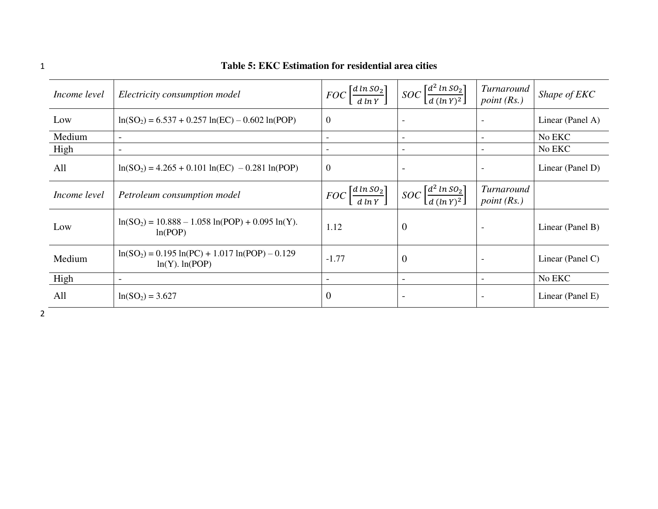| Income level | Electricity consumption model                                            | $FOC\left[\frac{d \ln SO_2}{d \ln Y}\right]$ | $SOC \left[ \frac{d^2 \ln SO_2}{d \left( \ln Y \right)^2} \right]$ | <i>Turnaround</i><br>point $(Rs.)$ | Shape of EKC     |
|--------------|--------------------------------------------------------------------------|----------------------------------------------|--------------------------------------------------------------------|------------------------------------|------------------|
| Low          | $ln(SO_2) = 6.537 + 0.257 ln(EC) - 0.602 ln(POP)$                        | $\boldsymbol{0}$                             |                                                                    |                                    | Linear (Panel A) |
| Medium       | $\overline{\phantom{a}}$                                                 |                                              |                                                                    |                                    | No EKC           |
| High         | $\qquad \qquad$                                                          |                                              |                                                                    |                                    | No EKC           |
| All          | $ln(SO_2) = 4.265 + 0.101 ln(EC) - 0.281 ln(POP)$                        | $\overline{0}$                               | $\overline{\phantom{a}}$                                           | $\overline{\phantom{a}}$           | Linear (Panel D) |
| Income level | Petroleum consumption model                                              | $FOC\left[\frac{d \ln SO_2}{d \ln Y}\right]$ | $SOC \left[ \frac{d^2 \ln SO_2}{d \left( \ln Y \right)^2} \right]$ | Turnaround<br>point(Rs.)           |                  |
| Low          | $ln(SO_2) = 10.888 - 1.058 ln(POP) + 0.095 ln(Y).$<br>ln(POP)            | 1.12                                         | $\theta$                                                           |                                    | Linear (Panel B) |
| Medium       | $ln(SO_2) = 0.195 ln(PC) + 1.017 ln(POP) - 0.129$<br>$ln(Y)$ . $ln(POP)$ | $-1.77$                                      | $\Omega$                                                           |                                    | Linear (Panel C) |
| High         | $\overline{\phantom{a}}$                                                 |                                              | $\overline{\phantom{a}}$                                           | $\overline{\phantom{a}}$           | No EKC           |
| All          | $ln(SO2) = 3.627$                                                        | $\overline{0}$                               |                                                                    |                                    | Linear (Panel E) |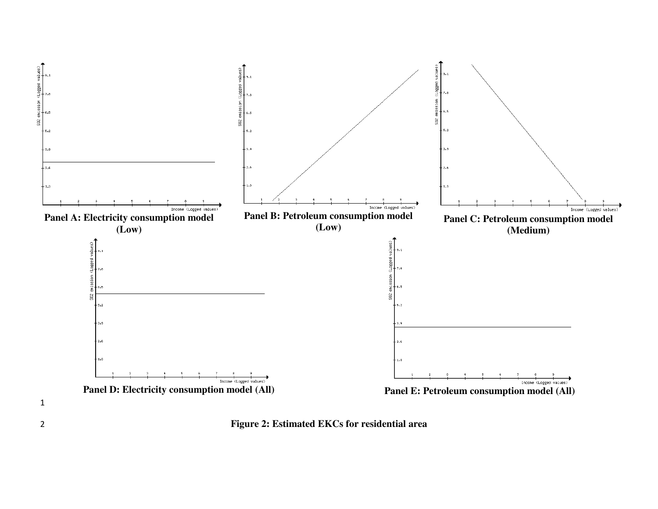

2 **Figure 2: Estimated EKCs for residential area**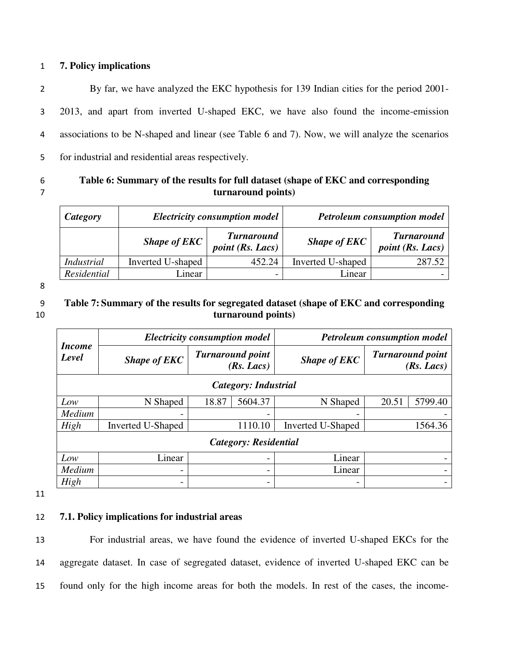# 1 **7. Policy implications**

By far, we have analyzed the EKC hypothesis for 139 Indian cities for the period 2001- 2013, and apart from inverted U-shaped EKC, we have also found the income-emission associations to be N-shaped and linear (see Table 6 and 7). Now, we will analyze the scenarios for industrial and residential areas respectively.

# 6 **Table 6: Summary of the results for full dataset (shape of EKC and corresponding**  7 **turnaround points)**

| Category    |                   | <b>Electricity consumption model</b>         |                     | <b>Petroleum consumption model</b>           |
|-------------|-------------------|----------------------------------------------|---------------------|----------------------------------------------|
|             | Shape of $EKC$    | <b>Turnaround</b><br><i>point</i> (Rs. Lacs) | <b>Shape of EKC</b> | <b>Turnaround</b><br><i>point</i> (Rs. Lacs) |
| Industrial  | Inverted U-shaped | 452.24                                       | Inverted U-shaped   | 287.52                                       |
| Residential | inear             |                                              | Linear              |                                              |

8

# 9 **Table 7: Summary of the results for segregated dataset (shape of EKC and corresponding**  10 **turnaround points)**

|                             | <b>Electricity consumption model</b> |                                       |         | <b>Petroleum consumption model</b> |       |                                       |
|-----------------------------|--------------------------------------|---------------------------------------|---------|------------------------------------|-------|---------------------------------------|
| <i>Income</i><br>Level      | <b>Shape of EKC</b>                  | <b>Turnaround point</b><br>(Rs. Lacs) |         | <b>Shape of EKC</b>                |       | <b>Turnaround point</b><br>(Rs. Lacs) |
| <b>Category: Industrial</b> |                                      |                                       |         |                                    |       |                                       |
| Low                         | N Shaped                             | 18.87                                 | 5604.37 | N Shaped                           | 20.51 | 5799.40                               |
| Medium                      |                                      |                                       |         |                                    |       |                                       |
| High                        | <b>Inverted U-Shaped</b>             | 1110.10                               |         | <b>Inverted U-Shaped</b>           |       | 1564.36                               |
| Category: Residential       |                                      |                                       |         |                                    |       |                                       |
| Low                         | Linear                               | $\overline{\phantom{0}}$              |         | Linear                             |       |                                       |
| Medium                      |                                      |                                       |         | Linear                             |       |                                       |
| High                        |                                      |                                       |         |                                    |       |                                       |

11

# 12 **7.1. Policy implications for industrial areas**

13 For industrial areas, we have found the evidence of inverted U-shaped EKCs for the 14 aggregate dataset. In case of segregated dataset, evidence of inverted U-shaped EKC can be 15 found only for the high income areas for both the models. In rest of the cases, the income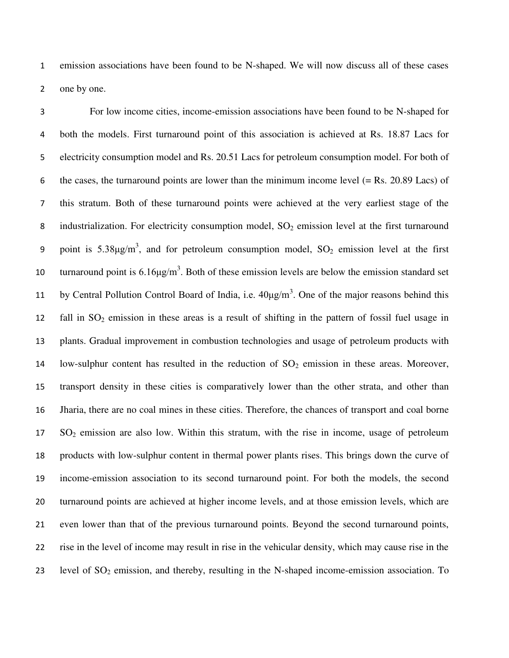emission associations have been found to be N-shaped. We will now discuss all of these cases one by one.

For low income cities, income-emission associations have been found to be N-shaped for both the models. First turnaround point of this association is achieved at Rs. 18.87 Lacs for electricity consumption model and Rs. 20.51 Lacs for petroleum consumption model. For both of 6 the cases, the turnaround points are lower than the minimum income level  $(= Rs. 20.89$  Lacs) of this stratum. Both of these turnaround points were achieved at the very earliest stage of the 8 industrialization. For electricity consumption model,  $SO_2$  emission level at the first turnaround 9 point is  $5.38\mu\text{g/m}^3$ , and for petroleum consumption model,  $SO_2$  emission level at the first 10 turnaround point is  $6.16\mu g/m<sup>3</sup>$ . Both of these emission levels are below the emission standard set 11 by Central Pollution Control Board of India, i.e.  $40\mu g/m<sup>3</sup>$ . One of the major reasons behind this 12 fall in  $SO_2$  emission in these areas is a result of shifting in the pattern of fossil fuel usage in plants. Gradual improvement in combustion technologies and usage of petroleum products with 14 low-sulphur content has resulted in the reduction of  $SO_2$  emission in these areas. Moreover, transport density in these cities is comparatively lower than the other strata, and other than Jharia, there are no coal mines in these cities. Therefore, the chances of transport and coal borne SO2 emission are also low. Within this stratum, with the rise in income, usage of petroleum products with low-sulphur content in thermal power plants rises. This brings down the curve of income-emission association to its second turnaround point. For both the models, the second turnaround points are achieved at higher income levels, and at those emission levels, which are even lower than that of the previous turnaround points. Beyond the second turnaround points, rise in the level of income may result in rise in the vehicular density, which may cause rise in the 23 level of  $SO_2$  emission, and thereby, resulting in the N-shaped income-emission association. To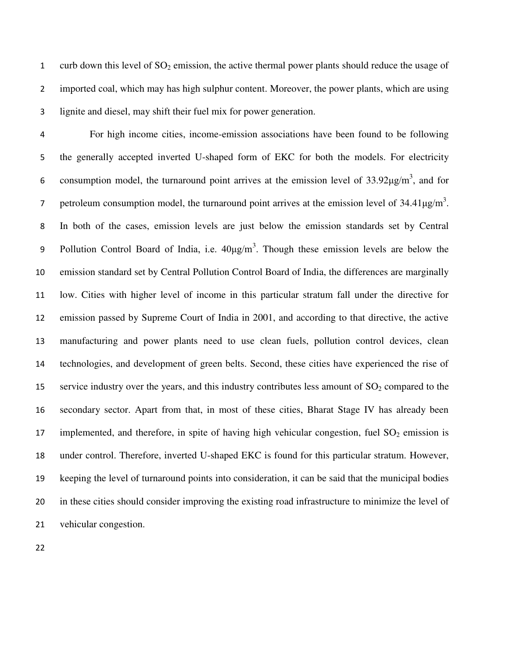1 curb down this level of  $SO_2$  emission, the active thermal power plants should reduce the usage of imported coal, which may has high sulphur content. Moreover, the power plants, which are using lignite and diesel, may shift their fuel mix for power generation.

For high income cities, income-emission associations have been found to be following the generally accepted inverted U-shaped form of EKC for both the models. For electricity 6 consumption model, the turnaround point arrives at the emission level of  $33.92 \mu g/m^3$ , and for 7 petroleum consumption model, the turnaround point arrives at the emission level of  $34.41 \mu\text{g/m}^3$ . In both of the cases, emission levels are just below the emission standards set by Central 9 Pollution Control Board of India, i.e.  $40\mu g/m^3$ . Though these emission levels are below the emission standard set by Central Pollution Control Board of India, the differences are marginally low. Cities with higher level of income in this particular stratum fall under the directive for emission passed by Supreme Court of India in 2001, and according to that directive, the active manufacturing and power plants need to use clean fuels, pollution control devices, clean technologies, and development of green belts. Second, these cities have experienced the rise of 15 service industry over the years, and this industry contributes less amount of  $SO_2$  compared to the secondary sector. Apart from that, in most of these cities, Bharat Stage IV has already been 17 implemented, and therefore, in spite of having high vehicular congestion, fuel  $SO_2$  emission is under control. Therefore, inverted U-shaped EKC is found for this particular stratum. However, keeping the level of turnaround points into consideration, it can be said that the municipal bodies in these cities should consider improving the existing road infrastructure to minimize the level of vehicular congestion.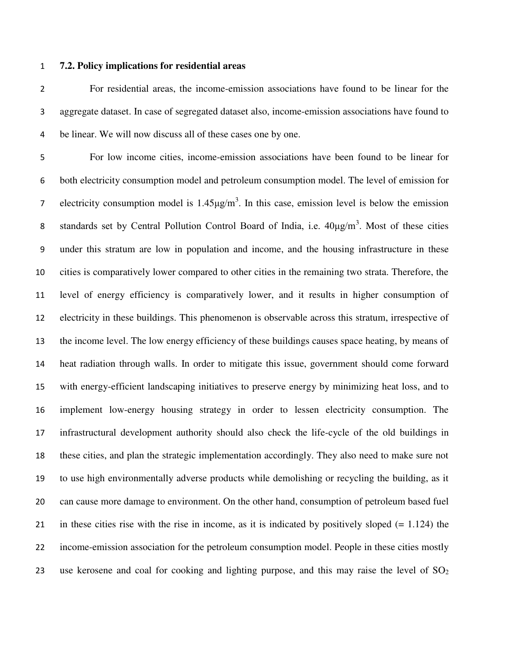#### **7.2. Policy implications for residential areas**

For residential areas, the income-emission associations have found to be linear for the aggregate dataset. In case of segregated dataset also, income-emission associations have found to be linear. We will now discuss all of these cases one by one.

For low income cities, income-emission associations have been found to be linear for both electricity consumption model and petroleum consumption model. The level of emission for electricity consumption model is  $1.45 \mu g/m<sup>3</sup>$ . In this case, emission level is below the emission 8 standards set by Central Pollution Control Board of India, i.e.  $40\mu g/m^3$ . Most of these cities under this stratum are low in population and income, and the housing infrastructure in these cities is comparatively lower compared to other cities in the remaining two strata. Therefore, the level of energy efficiency is comparatively lower, and it results in higher consumption of electricity in these buildings. This phenomenon is observable across this stratum, irrespective of the income level. The low energy efficiency of these buildings causes space heating, by means of heat radiation through walls. In order to mitigate this issue, government should come forward with energy-efficient landscaping initiatives to preserve energy by minimizing heat loss, and to implement low-energy housing strategy in order to lessen electricity consumption. The infrastructural development authority should also check the life-cycle of the old buildings in these cities, and plan the strategic implementation accordingly. They also need to make sure not to use high environmentally adverse products while demolishing or recycling the building, as it can cause more damage to environment. On the other hand, consumption of petroleum based fuel in these cities rise with the rise in income, as it is indicated by positively sloped (= 1.124) the income-emission association for the petroleum consumption model. People in these cities mostly 23 use kerosene and coal for cooking and lighting purpose, and this may raise the level of  $SO_2$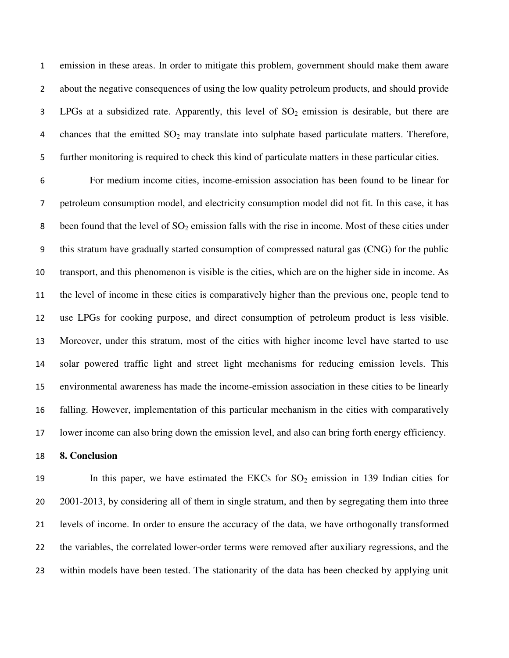emission in these areas. In order to mitigate this problem, government should make them aware about the negative consequences of using the low quality petroleum products, and should provide 3 LPGs at a subsidized rate. Apparently, this level of  $SO<sub>2</sub>$  emission is desirable, but there are 4 chances that the emitted  $SO_2$  may translate into sulphate based particulate matters. Therefore, further monitoring is required to check this kind of particulate matters in these particular cities.

For medium income cities, income-emission association has been found to be linear for petroleum consumption model, and electricity consumption model did not fit. In this case, it has 8 been found that the level of  $SO_2$  emission falls with the rise in income. Most of these cities under this stratum have gradually started consumption of compressed natural gas (CNG) for the public transport, and this phenomenon is visible is the cities, which are on the higher side in income. As the level of income in these cities is comparatively higher than the previous one, people tend to use LPGs for cooking purpose, and direct consumption of petroleum product is less visible. Moreover, under this stratum, most of the cities with higher income level have started to use solar powered traffic light and street light mechanisms for reducing emission levels. This environmental awareness has made the income-emission association in these cities to be linearly falling. However, implementation of this particular mechanism in the cities with comparatively lower income can also bring down the emission level, and also can bring forth energy efficiency.

### **8. Conclusion**

19 In this paper, we have estimated the EKCs for  $SO_2$  emission in 139 Indian cities for 2001-2013, by considering all of them in single stratum, and then by segregating them into three levels of income. In order to ensure the accuracy of the data, we have orthogonally transformed the variables, the correlated lower-order terms were removed after auxiliary regressions, and the within models have been tested. The stationarity of the data has been checked by applying unit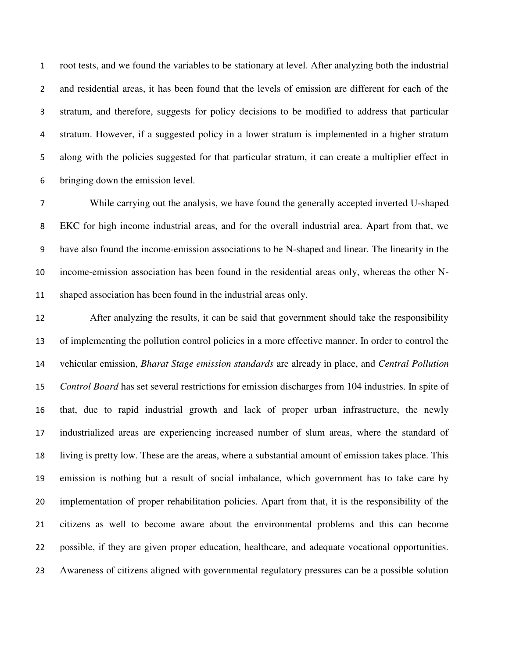root tests, and we found the variables to be stationary at level. After analyzing both the industrial and residential areas, it has been found that the levels of emission are different for each of the stratum, and therefore, suggests for policy decisions to be modified to address that particular stratum. However, if a suggested policy in a lower stratum is implemented in a higher stratum along with the policies suggested for that particular stratum, it can create a multiplier effect in bringing down the emission level.

While carrying out the analysis, we have found the generally accepted inverted U-shaped EKC for high income industrial areas, and for the overall industrial area. Apart from that, we have also found the income-emission associations to be N-shaped and linear. The linearity in the income-emission association has been found in the residential areas only, whereas the other N-shaped association has been found in the industrial areas only.

 After analyzing the results, it can be said that government should take the responsibility of implementing the pollution control policies in a more effective manner. In order to control the vehicular emission, *Bharat Stage emission standards* are already in place, and *Central Pollution Control Board* has set several restrictions for emission discharges from 104 industries. In spite of that, due to rapid industrial growth and lack of proper urban infrastructure, the newly industrialized areas are experiencing increased number of slum areas, where the standard of living is pretty low. These are the areas, where a substantial amount of emission takes place. This emission is nothing but a result of social imbalance, which government has to take care by implementation of proper rehabilitation policies. Apart from that, it is the responsibility of the citizens as well to become aware about the environmental problems and this can become possible, if they are given proper education, healthcare, and adequate vocational opportunities. Awareness of citizens aligned with governmental regulatory pressures can be a possible solution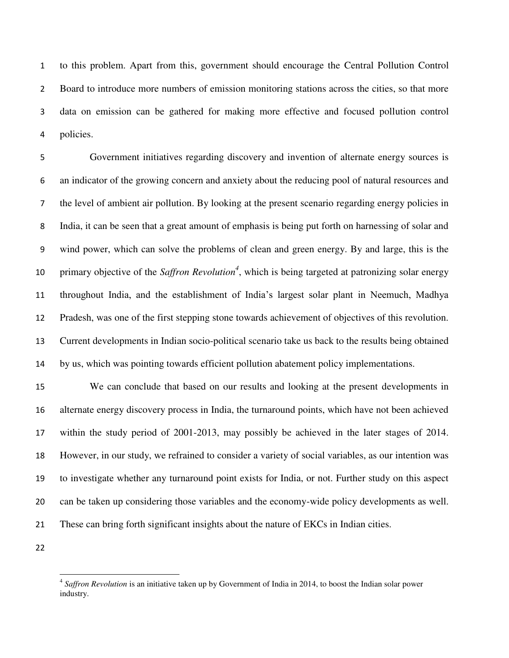to this problem. Apart from this, government should encourage the Central Pollution Control Board to introduce more numbers of emission monitoring stations across the cities, so that more data on emission can be gathered for making more effective and focused pollution control policies.

Government initiatives regarding discovery and invention of alternate energy sources is an indicator of the growing concern and anxiety about the reducing pool of natural resources and the level of ambient air pollution. By looking at the present scenario regarding energy policies in India, it can be seen that a great amount of emphasis is being put forth on harnessing of solar and wind power, which can solve the problems of clean and green energy. By and large, this is the 10 primary objective of the *Saffron Revolution<sup>4</sup>*, which is being targeted at patronizing solar energy 11 throughout India, and the establishment of India's largest solar plant in Neemuch, Madhya Pradesh, was one of the first stepping stone towards achievement of objectives of this revolution. Current developments in Indian socio-political scenario take us back to the results being obtained by us, which was pointing towards efficient pollution abatement policy implementations.

 We can conclude that based on our results and looking at the present developments in alternate energy discovery process in India, the turnaround points, which have not been achieved within the study period of 2001-2013, may possibly be achieved in the later stages of 2014. However, in our study, we refrained to consider a variety of social variables, as our intention was to investigate whether any turnaround point exists for India, or not. Further study on this aspect can be taken up considering those variables and the economy-wide policy developments as well. These can bring forth significant insights about the nature of EKCs in Indian cities.

l

 *Saffron Revolution* is an initiative taken up by Government of India in 2014, to boost the Indian solar power industry.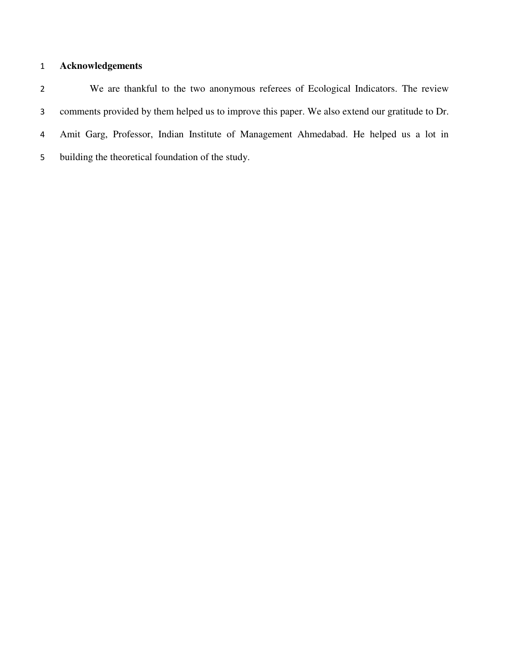# **Acknowledgements**

We are thankful to the two anonymous referees of Ecological Indicators. The review comments provided by them helped us to improve this paper. We also extend our gratitude to Dr. Amit Garg, Professor, Indian Institute of Management Ahmedabad. He helped us a lot in building the theoretical foundation of the study.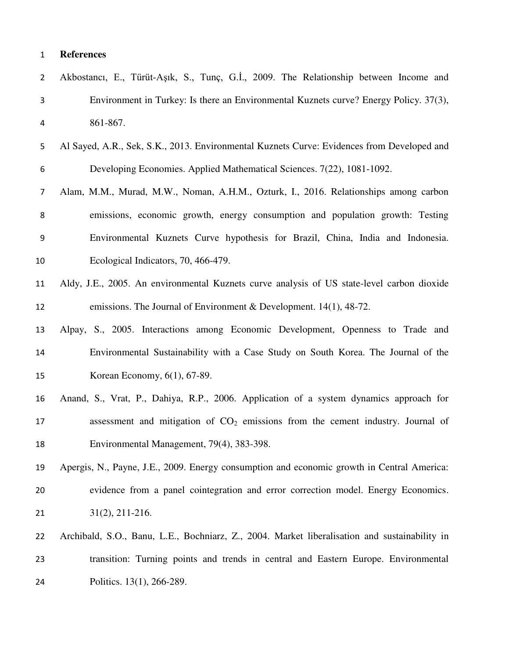| $\overline{2}$ | Akbostancı, E., Türüt-Aşık, S., Tunç, G.I., 2009. The Relationship between Income and         |
|----------------|-----------------------------------------------------------------------------------------------|
| 3              | Environment in Turkey: Is there an Environmental Kuznets curve? Energy Policy. 37(3),         |
| 4              | 861-867.                                                                                      |
| 5              | Al Sayed, A.R., Sek, S.K., 2013. Environmental Kuznets Curve: Evidences from Developed and    |
| 6              | Developing Economies. Applied Mathematical Sciences. 7(22), 1081-1092.                        |
| 7              | Alam, M.M., Murad, M.W., Noman, A.H.M., Ozturk, I., 2016. Relationships among carbon          |
| 8              | emissions, economic growth, energy consumption and population growth: Testing                 |
| 9              | Environmental Kuznets Curve hypothesis for Brazil, China, India and Indonesia.                |
| 10             | Ecological Indicators, 70, 466-479.                                                           |
| 11             | Aldy, J.E., 2005. An environmental Kuznets curve analysis of US state-level carbon dioxide    |
| 12             | emissions. The Journal of Environment & Development. $14(1)$ , $48-72$ .                      |
| 13             | Alpay, S., 2005. Interactions among Economic Development, Openness to Trade and               |
| 14             | Environmental Sustainability with a Case Study on South Korea. The Journal of the             |
| 15             | Korean Economy, 6(1), 67-89.                                                                  |
| 16             | Anand, S., Vrat, P., Dahiya, R.P., 2006. Application of a system dynamics approach for        |
| 17             | assessment and mitigation of $CO2$ emissions from the cement industry. Journal of             |
| 18             | Environmental Management, 79(4), 383-398.                                                     |
| 19             | Apergis, N., Payne, J.E., 2009. Energy consumption and economic growth in Central America:    |
| 20             | evidence from a panel cointegration and error correction model. Energy Economics.             |
| 21             | $31(2), 211-216.$                                                                             |
| 22             | Archibald, S.O., Banu, L.E., Bochniarz, Z., 2004. Market liberalisation and sustainability in |
| 23             | transition: Turning points and trends in central and Eastern Europe. Environmental            |
| 24             | Politics. 13(1), 266-289.                                                                     |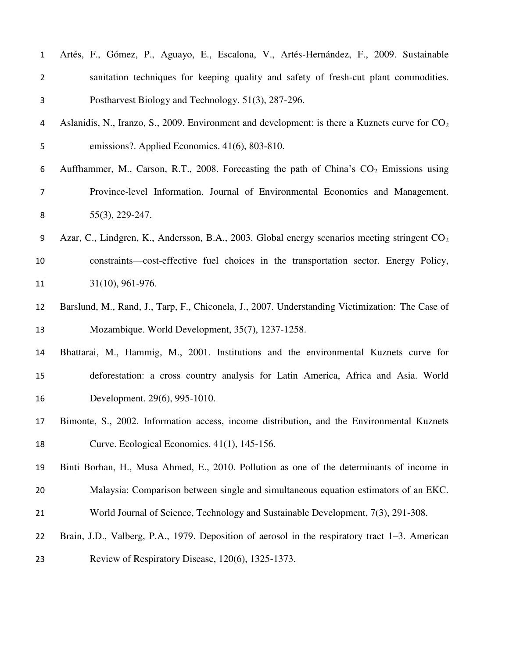| $\mathbf{1}$   | Artés, F., Gómez, P., Aguayo, E., Escalona, V., Artés-Hernández, F., 2009. Sustainable                   |
|----------------|----------------------------------------------------------------------------------------------------------|
| $\overline{2}$ | sanitation techniques for keeping quality and safety of fresh-cut plant commodities.                     |
| 3              | Postharvest Biology and Technology. 51(3), 287-296.                                                      |
| 4              | Aslanidis, N., Iranzo, S., 2009. Environment and development: is there a Kuznets curve for $CO2$         |
| 5              | emissions?. Applied Economics. 41(6), 803-810.                                                           |
| 6              | Auffhammer, M., Carson, R.T., 2008. Forecasting the path of China's CO <sub>2</sub> Emissions using      |
| $\overline{7}$ | Province-level Information. Journal of Environmental Economics and Management.                           |
| 8              | $55(3)$ , 229-247.                                                                                       |
| 9              | Azar, C., Lindgren, K., Andersson, B.A., 2003. Global energy scenarios meeting stringent CO <sub>2</sub> |
| 10             | constraints—cost-effective fuel choices in the transportation sector. Energy Policy,                     |
| 11             | 31(10), 961-976.                                                                                         |
| 12             | Barslund, M., Rand, J., Tarp, F., Chiconela, J., 2007. Understanding Victimization: The Case of          |
| 13             | Mozambique. World Development, 35(7), 1237-1258.                                                         |
| 14             | Bhattarai, M., Hammig, M., 2001. Institutions and the environmental Kuznets curve for                    |
| 15             | deforestation: a cross country analysis for Latin America, Africa and Asia. World                        |
| 16             | Development. 29(6), 995-1010.                                                                            |
| 17             | Bimonte, S., 2002. Information access, income distribution, and the Environmental Kuznets                |
| 18             | Curve. Ecological Economics. 41(1), 145-156.                                                             |
| 19             | Binti Borhan, H., Musa Ahmed, E., 2010. Pollution as one of the determinants of income in                |
| 20             | Malaysia: Comparison between single and simultaneous equation estimators of an EKC.                      |
| 21             | World Journal of Science, Technology and Sustainable Development, 7(3), 291-308.                         |
| 22             | Brain, J.D., Valberg, P.A., 1979. Deposition of aerosol in the respiratory tract $1-3$ . American        |
| 23             | Review of Respiratory Disease, 120(6), 1325-1373.                                                        |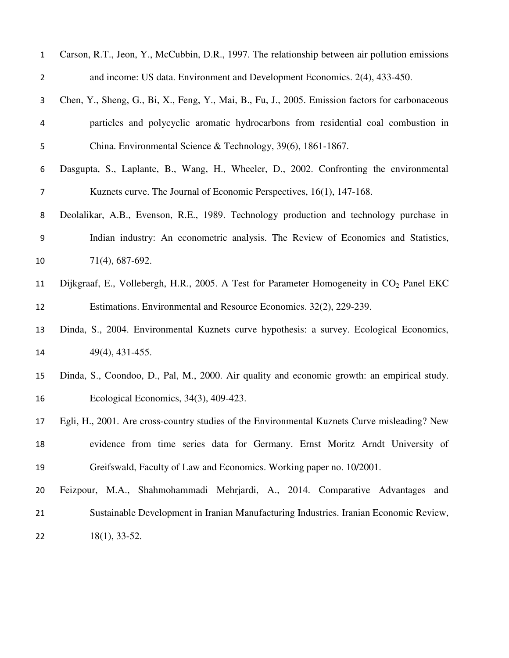| $\mathbf{1}$   | Carson, R.T., Jeon, Y., McCubbin, D.R., 1997. The relationship between air pollution emissions       |
|----------------|------------------------------------------------------------------------------------------------------|
| $\overline{2}$ | and income: US data. Environment and Development Economics. 2(4), 433-450.                           |
| 3              | Chen, Y., Sheng, G., Bi, X., Feng, Y., Mai, B., Fu, J., 2005. Emission factors for carbonaceous      |
| 4              | particles and polycyclic aromatic hydrocarbons from residential coal combustion in                   |
| 5              | China. Environmental Science & Technology, 39(6), 1861-1867.                                         |
| 6              | Dasgupta, S., Laplante, B., Wang, H., Wheeler, D., 2002. Confronting the environmental               |
| 7              | Kuznets curve. The Journal of Economic Perspectives, 16(1), 147-168.                                 |
| 8              | Deolalikar, A.B., Evenson, R.E., 1989. Technology production and technology purchase in              |
| 9              | Indian industry: An econometric analysis. The Review of Economics and Statistics,                    |
| 10             | 71(4), 687-692.                                                                                      |
| 11             | Dijkgraaf, E., Vollebergh, H.R., 2005. A Test for Parameter Homogeneity in CO <sub>2</sub> Panel EKC |
| 12             | Estimations. Environmental and Resource Economics. 32(2), 229-239.                                   |
| 13             | Dinda, S., 2004. Environmental Kuznets curve hypothesis: a survey. Ecological Economics,             |
| 14             | $49(4)$ , $431-455$ .                                                                                |
| 15             | Dinda, S., Coondoo, D., Pal, M., 2000. Air quality and economic growth: an empirical study.          |
| 16             | Ecological Economics, 34(3), 409-423.                                                                |
| 17             | Egli, H., 2001. Are cross-country studies of the Environmental Kuznets Curve misleading? New         |
| 18             | evidence from time series data for Germany. Ernst Moritz Arndt University of                         |
| 19             | Greifswald, Faculty of Law and Economics. Working paper no. 10/2001.                                 |
| 20             | Feizpour, M.A., Shahmohammadi Mehrjardi, A., 2014. Comparative Advantages and                        |
| 21             | Sustainable Development in Iranian Manufacturing Industries. Iranian Economic Review,                |
| 22             | $18(1), 33-52.$                                                                                      |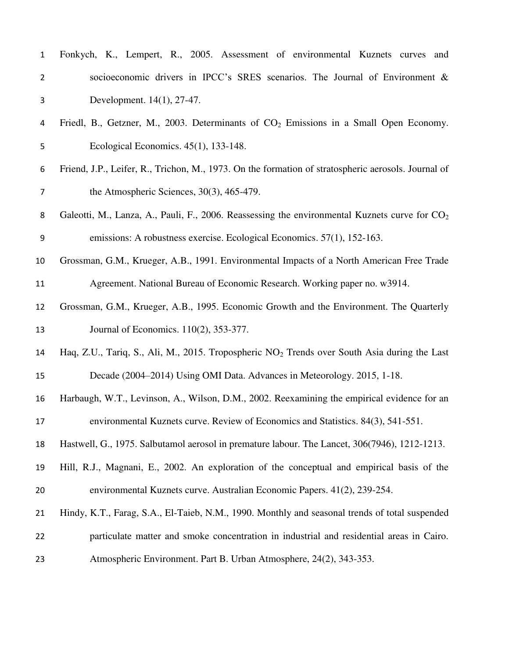| $\mathbf{1}$   | Fonkych, K., Lempert, R., 2005. Assessment of environmental Kuznets curves<br>and                   |
|----------------|-----------------------------------------------------------------------------------------------------|
| $\overline{2}$ | socioeconomic drivers in IPCC's SRES scenarios. The Journal of Environment &                        |
| 3              | Development. 14(1), 27-47.                                                                          |
| 4              | Friedl, B., Getzner, M., 2003. Determinants of $CO2$ Emissions in a Small Open Economy.             |
| 5              | Ecological Economics. $45(1)$ , 133-148.                                                            |
| 6              | Friend, J.P., Leifer, R., Trichon, M., 1973. On the formation of stratospheric aerosols. Journal of |
| $\overline{7}$ | the Atmospheric Sciences, $30(3)$ , $465-479$ .                                                     |
| 8              | Galeotti, M., Lanza, A., Pauli, F., 2006. Reassessing the environmental Kuznets curve for $CO2$     |
| 9              | emissions: A robustness exercise. Ecological Economics. 57(1), 152-163.                             |
| 10             | Grossman, G.M., Krueger, A.B., 1991. Environmental Impacts of a North American Free Trade           |
| 11             | Agreement. National Bureau of Economic Research. Working paper no. w3914.                           |
| 12             | Grossman, G.M., Krueger, A.B., 1995. Economic Growth and the Environment. The Quarterly             |
| 13             | Journal of Economics. 110(2), 353-377.                                                              |
| 14             | Haq, Z.U., Tariq, S., Ali, M., 2015. Tropospheric $NO2$ Trends over South Asia during the Last      |
| 15             | Decade (2004–2014) Using OMI Data. Advances in Meteorology. 2015, 1-18.                             |
| 16             | Harbaugh, W.T., Levinson, A., Wilson, D.M., 2002. Reexamining the empirical evidence for an         |
| 17             | environmental Kuznets curve. Review of Economics and Statistics. 84(3), 541-551.                    |
| 18             | Hastwell, G., 1975. Salbutamol aerosol in premature labour. The Lancet, 306(7946), 1212-1213.       |
| 19             | Hill, R.J., Magnani, E., 2002. An exploration of the conceptual and empirical basis of the          |
| 20             | environmental Kuznets curve. Australian Economic Papers. 41(2), 239-254.                            |
| 21             | Hindy, K.T., Farag, S.A., El-Taieb, N.M., 1990. Monthly and seasonal trends of total suspended      |
| 22             | particulate matter and smoke concentration in industrial and residential areas in Cairo.            |
| 23             | Atmospheric Environment. Part B. Urban Atmosphere, 24(2), 343-353.                                  |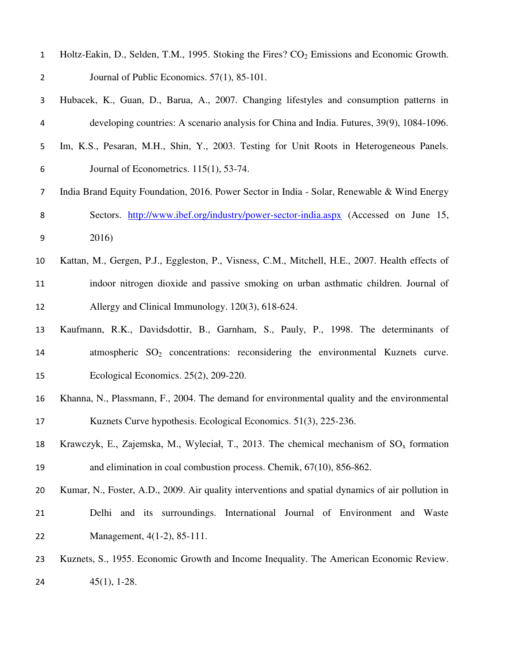| $\mathbf{1}$   | Holtz-Eakin, D., Selden, T.M., 1995. Stoking the Fires? CO <sub>2</sub> Emissions and Economic Growth. |
|----------------|--------------------------------------------------------------------------------------------------------|
| $\overline{2}$ | Journal of Public Economics. 57(1), 85-101.                                                            |
| 3              | Hubacek, K., Guan, D., Barua, A., 2007. Changing lifestyles and consumption patterns in                |
| 4              | developing countries: A scenario analysis for China and India. Futures, 39(9), 1084-1096.              |
| 5              | Im, K.S., Pesaran, M.H., Shin, Y., 2003. Testing for Unit Roots in Heterogeneous Panels.               |
| 6              | Journal of Econometrics. $115(1)$ , 53-74.                                                             |
| 7              | India Brand Equity Foundation, 2016. Power Sector in India - Solar, Renewable & Wind Energy            |
| 8              | Sectors. http://www.ibef.org/industry/power-sector-india.aspx (Accessed on June 15,                    |
| 9              | 2016)                                                                                                  |
| 10             | Kattan, M., Gergen, P.J., Eggleston, P., Visness, C.M., Mitchell, H.E., 2007. Health effects of        |
| 11             | indoor nitrogen dioxide and passive smoking on urban asthmatic children. Journal of                    |
| 12             | Allergy and Clinical Immunology. 120(3), 618-624.                                                      |
| 13             | Kaufmann, R.K., Davidsdottir, B., Garnham, S., Pauly, P., 1998. The determinants of                    |
| 14             | atmospheric $SO_2$ concentrations: reconsidering the environmental Kuznets curve.                      |
| 15             | Ecological Economics. 25(2), 209-220.                                                                  |
| 16             | Khanna, N., Plassmann, F., 2004. The demand for environmental quality and the environmental            |
| 17             | Kuznets Curve hypothesis. Ecological Economics. 51(3), 225-236.                                        |
| 18             | Krawczyk, E., Zajemska, M., Wyleciał, T., 2013. The chemical mechanism of $SO_x$ formation             |
| 19             | and elimination in coal combustion process. Chemik, $67(10)$ , $856-862$ .                             |
| 20             | Kumar, N., Foster, A.D., 2009. Air quality interventions and spatial dynamics of air pollution in      |
| 21             | Delhi and its surroundings. International Journal of Environment and Waste                             |
| 22             | Management, 4(1-2), 85-111.                                                                            |
| 23             | Kuznets, S., 1955. Economic Growth and Income Inequality. The American Economic Review.                |
| 24             | $45(1), 1-28.$                                                                                         |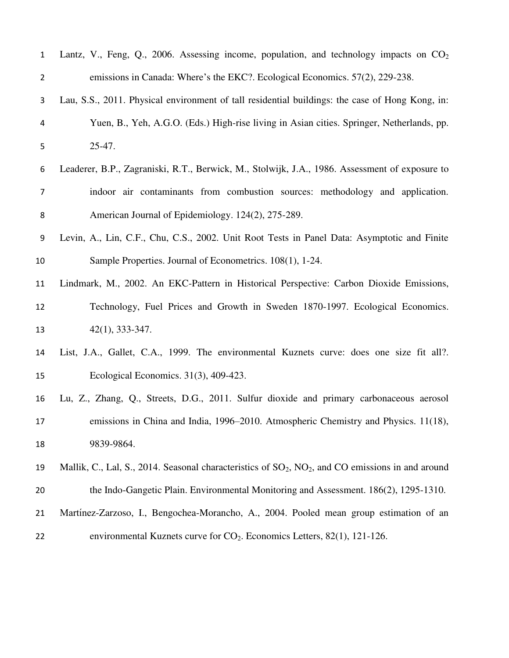| 1              | Lantz, V., Feng, Q., 2006. Assessing income, population, and technology impacts on $CO2$                |
|----------------|---------------------------------------------------------------------------------------------------------|
| $\overline{2}$ | emissions in Canada: Where's the EKC?. Ecological Economics. 57(2), 229-238.                            |
| 3              | Lau, S.S., 2011. Physical environment of tall residential buildings: the case of Hong Kong, in:         |
| 4              | Yuen, B., Yeh, A.G.O. (Eds.) High-rise living in Asian cities. Springer, Netherlands, pp.               |
| 5              | 25-47.                                                                                                  |
| 6              | Leaderer, B.P., Zagraniski, R.T., Berwick, M., Stolwijk, J.A., 1986. Assessment of exposure to          |
| 7              | indoor air contaminants from combustion sources: methodology and application.                           |
| 8              | American Journal of Epidemiology. 124(2), 275-289.                                                      |
| 9              | Levin, A., Lin, C.F., Chu, C.S., 2002. Unit Root Tests in Panel Data: Asymptotic and Finite             |
| 10             | Sample Properties. Journal of Econometrics. 108(1), 1-24.                                               |
| 11             | Lindmark, M., 2002. An EKC-Pattern in Historical Perspective: Carbon Dioxide Emissions,                 |
| 12             | Technology, Fuel Prices and Growth in Sweden 1870-1997. Ecological Economics.                           |
| 13             | $42(1), 333-347.$                                                                                       |
| 14             | List, J.A., Gallet, C.A., 1999. The environmental Kuznets curve: does one size fit all?.                |
| 15             | Ecological Economics. 31(3), 409-423.                                                                   |
| 16             | Lu, Z., Zhang, Q., Streets, D.G., 2011. Sulfur dioxide and primary carbonaceous aerosol                 |
| 17             | emissions in China and India, 1996–2010. Atmospheric Chemistry and Physics. 11(18),                     |
| 18             | 9839-9864.                                                                                              |
| 19             | Mallik, C., Lal, S., 2014. Seasonal characteristics of $SO_2$ , $NO_2$ , and CO emissions in and around |
| 20             | the Indo-Gangetic Plain. Environmental Monitoring and Assessment. 186(2), 1295-1310.                    |
| 21             | Martínez-Zarzoso, I., Bengochea-Morancho, A., 2004. Pooled mean group estimation of an                  |
| 22             | environmental Kuznets curve for $CO_2$ . Economics Letters, 82(1), 121-126.                             |
|                |                                                                                                         |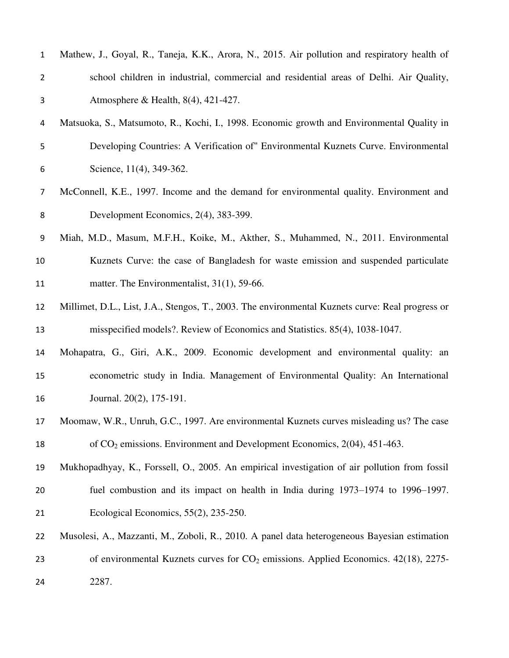| $\mathbf{1}$   | Mathew, J., Goyal, R., Taneja, K.K., Arora, N., 2015. Air pollution and respiratory health of    |
|----------------|--------------------------------------------------------------------------------------------------|
| $\overline{2}$ | school children in industrial, commercial and residential areas of Delhi. Air Quality,           |
| 3              | Atmosphere & Health, 8(4), 421-427.                                                              |
| 4              | Matsuoka, S., Matsumoto, R., Kochi, I., 1998. Economic growth and Environmental Quality in       |
| 5              | Developing Countries: A Verification of" Environmental Kuznets Curve. Environmental              |
| 6              | Science, 11(4), 349-362.                                                                         |
| 7              | McConnell, K.E., 1997. Income and the demand for environmental quality. Environment and          |
| 8              | Development Economics, 2(4), 383-399.                                                            |
| 9              | Miah, M.D., Masum, M.F.H., Koike, M., Akther, S., Muhammed, N., 2011. Environmental              |
| 10             | Kuznets Curve: the case of Bangladesh for waste emission and suspended particulate               |
| 11             | matter. The Environmentalist, 31(1), 59-66.                                                      |
| 12             | Millimet, D.L., List, J.A., Stengos, T., 2003. The environmental Kuznets curve: Real progress or |
| 13             | misspecified models?. Review of Economics and Statistics. 85(4), 1038-1047.                      |
| 14             | Mohapatra, G., Giri, A.K., 2009. Economic development and environmental quality: an              |
| 15             | econometric study in India. Management of Environmental Quality: An International                |
| 16             | Journal. 20(2), 175-191.                                                                         |
| 17             | Moomaw, W.R., Unruh, G.C., 1997. Are environmental Kuznets curves misleading us? The case        |
| 18             | of $CO2$ emissions. Environment and Development Economics, $2(04)$ , 451-463.                    |
| 19             | Mukhopadhyay, K., Forssell, O., 2005. An empirical investigation of air pollution from fossil    |
| 20             | fuel combustion and its impact on health in India during 1973–1974 to 1996–1997.                 |
| 21             | Ecological Economics, 55(2), 235-250.                                                            |
| 22             | Musolesi, A., Mazzanti, M., Zoboli, R., 2010. A panel data heterogeneous Bayesian estimation     |
| 23             | of environmental Kuznets curves for $CO2$ emissions. Applied Economics. 42(18), 2275-            |
| 24             | 2287.                                                                                            |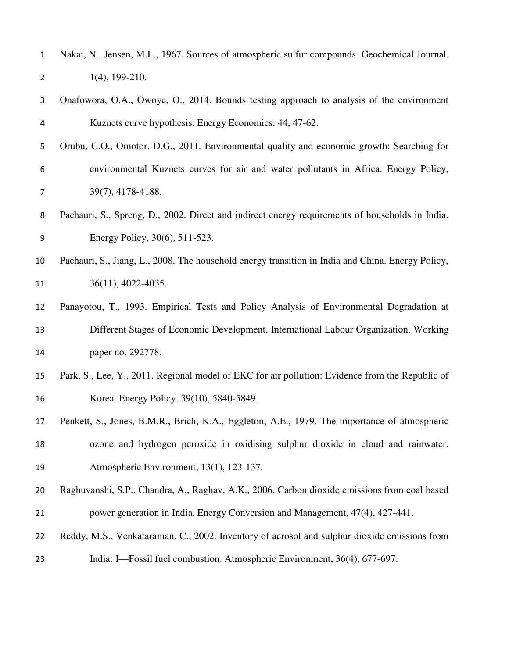| $\mathbf{1}$ | Nakai, N., Jensen, M.L., 1967. Sources of atmospheric sulfur compounds. Geochemical Journal.      |
|--------------|---------------------------------------------------------------------------------------------------|
| 2            | $1(4)$ , 199-210.                                                                                 |
| 3            | Onafowora, O.A., Owoye, O., 2014. Bounds testing approach to analysis of the environment          |
| 4            | Kuznets curve hypothesis. Energy Economics. 44, 47-62.                                            |
| 5            | Orubu, C.O., Omotor, D.G., 2011. Environmental quality and economic growth: Searching for         |
| 6            | environmental Kuznets curves for air and water pollutants in Africa. Energy Policy,               |
| 7            | 39(7), 4178-4188.                                                                                 |
| 8            | Pachauri, S., Spreng, D., 2002. Direct and indirect energy requirements of households in India.   |
| 9            | Energy Policy, 30(6), 511-523.                                                                    |
| 10           | Pachauri, S., Jiang, L., 2008. The household energy transition in India and China. Energy Policy, |
| 11           | $36(11)$ , 4022-4035.                                                                             |
| 12           | Panayotou, T., 1993. Empirical Tests and Policy Analysis of Environmental Degradation at          |
| 13           | Different Stages of Economic Development. International Labour Organization. Working              |
| 14           | paper no. 292778.                                                                                 |
| 15           | Park, S., Lee, Y., 2011. Regional model of EKC for air pollution: Evidence from the Republic of   |
| 16           | Korea. Energy Policy. 39(10), 5840-5849.                                                          |
| 17           | Penkett, S., Jones, B.M.R., Brich, K.A., Eggleton, A.E., 1979. The importance of atmospheric      |
| 18           | ozone and hydrogen peroxide in oxidising sulphur dioxide in cloud and rainwater.                  |
| 19           | Atmospheric Environment, 13(1), 123-137.                                                          |
| 20           | Raghuvanshi, S.P., Chandra, A., Raghav, A.K., 2006. Carbon dioxide emissions from coal based      |
| 21           | power generation in India. Energy Conversion and Management, 47(4), 427-441.                      |
| 22           | Reddy, M.S., Venkataraman, C., 2002. Inventory of aerosol and sulphur dioxide emissions from      |
| 23           | India: I—Fossil fuel combustion. Atmospheric Environment, 36(4), 677-697.                         |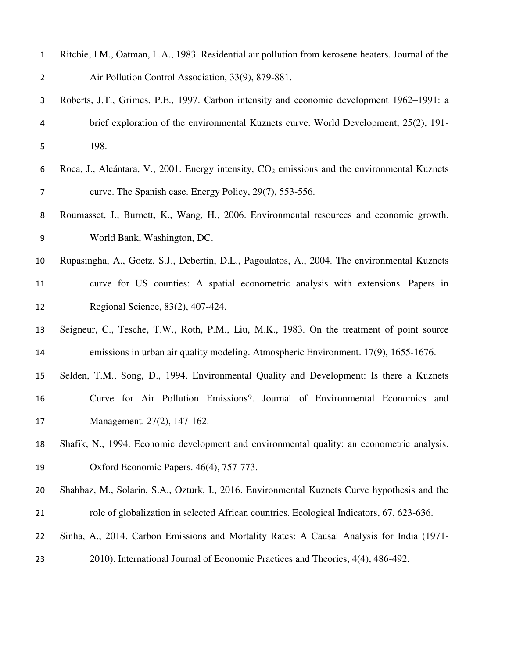| $\mathbf{1}$   | Ritchie, I.M., Oatman, L.A., 1983. Residential air pollution from kerosene heaters. Journal of the       |
|----------------|----------------------------------------------------------------------------------------------------------|
| $\overline{2}$ | Air Pollution Control Association, 33(9), 879-881.                                                       |
| 3              | Roberts, J.T., Grimes, P.E., 1997. Carbon intensity and economic development 1962-1991: a                |
| 4              | brief exploration of the environmental Kuznets curve. World Development, 25(2), 191-                     |
| 5              | 198.                                                                                                     |
| 6              | Roca, J., Alcántara, V., 2001. Energy intensity, CO <sub>2</sub> emissions and the environmental Kuznets |
| $\overline{7}$ | curve. The Spanish case. Energy Policy, 29(7), 553-556.                                                  |
| 8              | Roumasset, J., Burnett, K., Wang, H., 2006. Environmental resources and economic growth.                 |
| 9              | World Bank, Washington, DC.                                                                              |
| 10             | Rupasingha, A., Goetz, S.J., Debertin, D.L., Pagoulatos, A., 2004. The environmental Kuznets             |
| 11             | curve for US counties: A spatial econometric analysis with extensions. Papers in                         |
| 12             | Regional Science, 83(2), 407-424.                                                                        |
| 13             | Seigneur, C., Tesche, T.W., Roth, P.M., Liu, M.K., 1983. On the treatment of point source                |
| 14             | emissions in urban air quality modeling. Atmospheric Environment. 17(9), 1655-1676.                      |
| 15             | Selden, T.M., Song, D., 1994. Environmental Quality and Development: Is there a Kuznets                  |
| 16             | Curve for Air Pollution Emissions?. Journal of Environmental Economics and                               |
| 17             | Management. 27(2), 147-162.                                                                              |
| 18             | Shafik, N., 1994. Economic development and environmental quality: an econometric analysis.               |
| 19             | Oxford Economic Papers. 46(4), 757-773.                                                                  |
| 20             | Shahbaz, M., Solarin, S.A., Ozturk, I., 2016. Environmental Kuznets Curve hypothesis and the             |
| 21             | role of globalization in selected African countries. Ecological Indicators, 67, 623-636.                 |
| 22             | Sinha, A., 2014. Carbon Emissions and Mortality Rates: A Causal Analysis for India (1971-                |
| 23             | 2010). International Journal of Economic Practices and Theories, 4(4), 486-492.                          |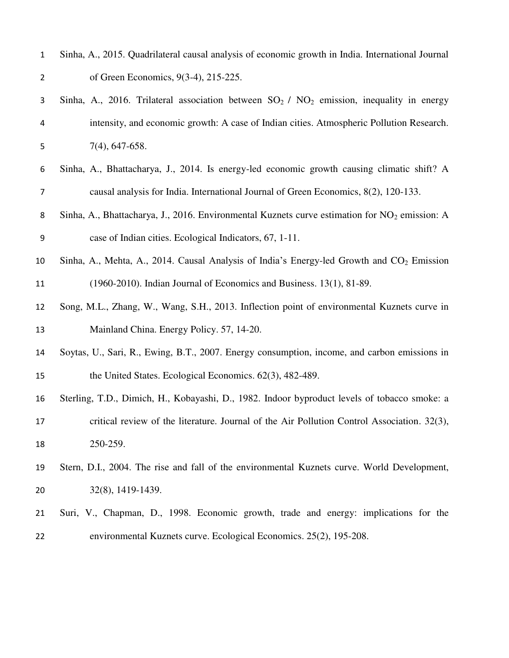| Sinha, A., 2015. Quadrilateral causal analysis of economic growth in India. International Journal |
|---------------------------------------------------------------------------------------------------|
| of Green Economics, 9(3-4), 215-225.                                                              |

- 3 Sinha, A., 2016. Trilateral association between  $SO_2 / NO_2$  emission, inequality in energy intensity, and economic growth: A case of Indian cities. Atmospheric Pollution Research. 7(4), 647-658.
- Sinha, A., Bhattacharya, J., 2014. Is energy-led economic growth causing climatic shift? A causal analysis for India. International Journal of Green Economics, 8(2), 120-133.
- 8 Sinha, A., Bhattacharya, J., 2016. Environmental Kuznets curve estimation for NO<sub>2</sub> emission: A case of Indian cities. Ecological Indicators, 67, 1-11.
- 10 Sinha, A., Mehta, A., 2014. Causal Analysis of India's Energy-led Growth and  $CO<sub>2</sub>$  Emission (1960-2010). Indian Journal of Economics and Business. 13(1), 81-89.
- Song, M.L., Zhang, W., Wang, S.H., 2013. Inflection point of environmental Kuznets curve in 13 Mainland China. Energy Policy. 57, 14-20.
- Soytas, U., Sari, R., Ewing, B.T., 2007. Energy consumption, income, and carbon emissions in 15 the United States. Ecological Economics. 62(3), 482-489.
- Sterling, T.D., Dimich, H., Kobayashi, D., 1982. Indoor byproduct levels of tobacco smoke: a critical review of the literature. Journal of the Air Pollution Control Association. 32(3), 250-259.
- Stern, D.I., 2004. The rise and fall of the environmental Kuznets curve. World Development, 32(8), 1419-1439.
- Suri, V., Chapman, D., 1998. Economic growth, trade and energy: implications for the environmental Kuznets curve. Ecological Economics. 25(2), 195-208.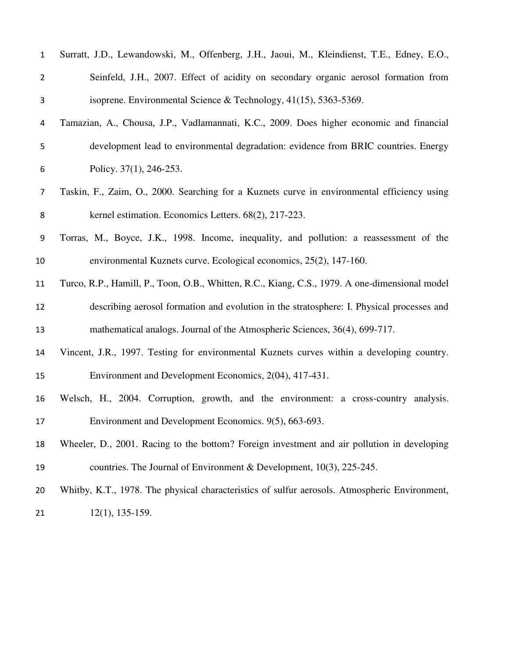| $\mathbf{1}$   | Surratt, J.D., Lewandowski, M., Offenberg, J.H., Jaoui, M., Kleindienst, T.E., Edney, E.O.,    |
|----------------|------------------------------------------------------------------------------------------------|
| $\overline{2}$ | Seinfeld, J.H., 2007. Effect of acidity on secondary organic aerosol formation from            |
| 3              | isoprene. Environmental Science & Technology, 41(15), 5363-5369.                               |
| 4              | Tamazian, A., Chousa, J.P., Vadlamannati, K.C., 2009. Does higher economic and financial       |
| 5              | development lead to environmental degradation: evidence from BRIC countries. Energy            |
| 6              | Policy. 37(1), 246-253.                                                                        |
| $\overline{7}$ | Taskin, F., Zaim, O., 2000. Searching for a Kuznets curve in environmental efficiency using    |
| 8              | kernel estimation. Economics Letters. 68(2), 217-223.                                          |
| 9              | Torras, M., Boyce, J.K., 1998. Income, inequality, and pollution: a reassessment of the        |
| 10             | environmental Kuznets curve. Ecological economics, 25(2), 147-160.                             |
| 11             | Turco, R.P., Hamill, P., Toon, O.B., Whitten, R.C., Kiang, C.S., 1979. A one-dimensional model |
| 12             | describing aerosol formation and evolution in the stratosphere: I. Physical processes and      |
| 13             | mathematical analogs. Journal of the Atmospheric Sciences, 36(4), 699-717.                     |
| 14             | Vincent, J.R., 1997. Testing for environmental Kuznets curves within a developing country.     |
| 15             | Environment and Development Economics, 2(04), 417-431.                                         |
| 16             | Welsch, H., 2004. Corruption, growth, and the environment: a cross-country analysis.           |
| 17             | Environment and Development Economics. 9(5), 663-693.                                          |
| 18             | Wheeler, D., 2001. Racing to the bottom? Foreign investment and air pollution in developing    |
| 19             | countries. The Journal of Environment & Development, 10(3), 225-245.                           |
| 20             | Whitby, K.T., 1978. The physical characteristics of sulfur aerosols. Atmospheric Environment,  |
| 21             | $12(1)$ , 135-159.                                                                             |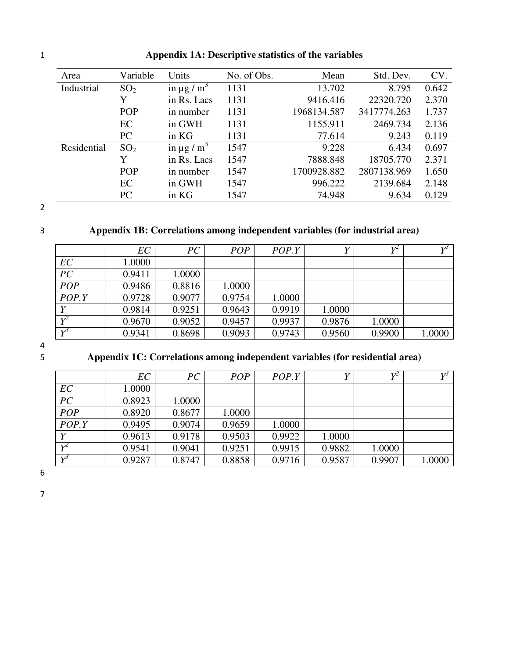| Area        | Variable        | Units                     | No. of Obs. | Mean        | Std. Dev.   | CV.   |
|-------------|-----------------|---------------------------|-------------|-------------|-------------|-------|
| Industrial  | SO <sub>2</sub> | in $\mu$ g/m <sup>3</sup> | 1131        | 13.702      | 8.795       | 0.642 |
|             | Y               | in Rs. Lacs               | 1131        | 9416.416    | 22320.720   | 2.370 |
|             | POP             | in number                 | 1131        | 1968134.587 | 3417774.263 | 1.737 |
|             | EC              | in GWH                    | 1131        | 1155.911    | 2469.734    | 2.136 |
|             | PC              | in KG                     | 1131        | 77.614      | 9.243       | 0.119 |
| Residential | SO <sub>2</sub> | in $\mu$ g/m <sup>3</sup> | 1547        | 9.228       | 6.434       | 0.697 |
|             | Y               | in Rs. Lacs               | 1547        | 7888.848    | 18705.770   | 2.371 |
|             | <b>POP</b>      | in number                 | 1547        | 1700928.882 | 2807138.969 | 1.650 |
|             | EC              | in GWH                    | 1547        | 996.222     | 2139.684    | 2.148 |
|             | PC              | in KG                     | 1547        | 74.948      | 9.634       | 0.129 |

# 1 **Appendix 1A: Descriptive statistics of the variables**

2

# 3 **Appendix 1B: Correlations among independent variables (for industrial area)**

|              | EC     | PC     | <b>POP</b> | POP.Y  |        | $V^2$  | $V^j$  |
|--------------|--------|--------|------------|--------|--------|--------|--------|
| EC           | 1.0000 |        |            |        |        |        |        |
| PC           | 0.9411 | 1.0000 |            |        |        |        |        |
| POP          | 0.9486 | 0.8816 | 1.0000     |        |        |        |        |
| POP.Y        | 0.9728 | 0.9077 | 0.9754     | 1.0000 |        |        |        |
| Y            | 0.9814 | 0.9251 | 0.9643     | 0.9919 | 1.0000 |        |        |
| $Y^2$        | 0.9670 | 0.9052 | 0.9457     | 0.9937 | 0.9876 | 1.0000 |        |
| $V^{\prime}$ | 0.9341 | 0.8698 | 0.9093     | 0.9743 | 0.9560 | 0.9900 | 1.0000 |

4

# 5 **Appendix 1C: Correlations among independent variables (for residential area)**

|       | EC     | PC     | <b>POP</b> | POP.Y  |        | $V^2$  | $V^j$  |
|-------|--------|--------|------------|--------|--------|--------|--------|
| EC    | 1.0000 |        |            |        |        |        |        |
| PC    | 0.8923 | 1.0000 |            |        |        |        |        |
| POP   | 0.8920 | 0.8677 | 1.0000     |        |        |        |        |
| POP.Y | 0.9495 | 0.9074 | 0.9659     | 1.0000 |        |        |        |
| V     | 0.9613 | 0.9178 | 0.9503     | 0.9922 | 1.0000 |        |        |
| $V^2$ | 0.9541 | 0.9041 | 0.9251     | 0.9915 | 0.9882 | 1.0000 |        |
| $V^j$ | 0.9287 | 0.8747 | 0.8858     | 0.9716 | 0.9587 | 0.9907 | 1.0000 |

6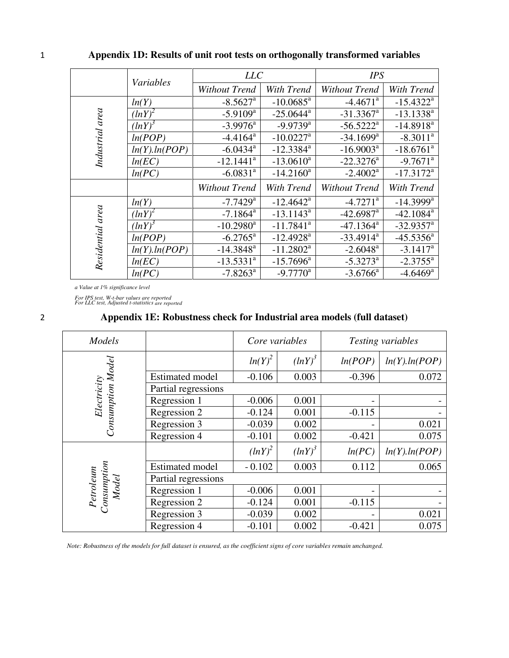|                  | Variables     | <b>LLC</b>              |                         | <b>IPS</b>              |                         |  |
|------------------|---------------|-------------------------|-------------------------|-------------------------|-------------------------|--|
|                  |               | <b>Without Trend</b>    | With Trend              | <b>Without Trend</b>    | With Trend              |  |
|                  | ln(Y)         | $-8.5627$ <sup>a</sup>  | $-10.0685$ <sup>a</sup> | $-4.4671$ <sup>a</sup>  | $-15.4322$ <sup>a</sup> |  |
|                  | (lnY)         | $-5.9109$ <sup>a</sup>  | $-25.0644$ <sup>a</sup> | $-31.3367$ <sup>a</sup> | $-13.1338^{a}$          |  |
|                  | $(lnY)^3$     | $-3.9976$ <sup>a</sup>  | $-9.9739$ <sup>a</sup>  | $-56.5222^{\mathrm{a}}$ | $-14.8918$ <sup>a</sup> |  |
| Industrial area  | ln(POP)       | $-4.4164$ <sup>a</sup>  | $-10.0227$ <sup>a</sup> | $-34.1699$ <sup>a</sup> | $-8.3011^a$             |  |
|                  | ln(Y).ln(POP) | $-6.0434$ <sup>a</sup>  | $-12.3384$ <sup>a</sup> | $-16.9003^a$            | $-18.6761$ <sup>a</sup> |  |
|                  | ln(EC)        | $-12.1441$ <sup>a</sup> | $-13.0610^a$            | $-22.3276^a$            | $-9.7671$ <sup>a</sup>  |  |
|                  | ln(PC)        | $-6.0831$ <sup>a</sup>  | $-14.2160^a$            | $-2.4002^{\rm a}$       | $-17.3172^a$            |  |
|                  |               | Without Trend           | With Trend              | <b>Without Trend</b>    | With Trend              |  |
|                  | ln(Y)         | $-7.7429$ <sup>a</sup>  | $-12.4642$ <sup>a</sup> | $-4.7271$ <sup>a</sup>  | $-14.3999$ <sup>a</sup> |  |
|                  | $(lnY)^2$     | $-7.1864$ <sup>a</sup>  | $-13.1143^a$            | $-42.6987$ <sup>a</sup> | $-42.1084$ <sup>a</sup> |  |
|                  | (lnY)         | $-10.2980$ <sup>a</sup> | $-11.7841$ <sup>a</sup> | $-47.1364$ <sup>a</sup> | $-32.9357$ <sup>a</sup> |  |
|                  | ln(POP)       | $-6.2765^{\text{a}}$    | $-12.4928$ <sup>a</sup> | $-33.4914^a$            | $-45.5356^a$            |  |
| Residential area | ln(Y).ln(POP) | $-14.3848$ <sup>a</sup> | $-11.2802^a$            | $-2.6048$ <sup>a</sup>  | $-3.1417^a$             |  |
|                  | ln(EC)        | $-13.5331$ <sup>a</sup> | $-15.7696^{\text{a}}$   | $-5.3273^{\mathrm{a}}$  | $-2.3755^{\text{a}}$    |  |
|                  | ln(PC)        | $-7.8263$ <sup>a</sup>  | $-9.7770$ <sup>a</sup>  | $-3.6766^{\circ}$       | $-4.6469$ <sup>a</sup>  |  |

# 1 **Appendix 1D: Results of unit root tests on orthogonally transformed variables**

*a Value at 1% significance level* 

*For IPS test, W-t-bar values are reported For LLC test, Adjusted t-statistics are reported*

# 2 **Appendix 1E: Robustness check for Industrial area models (full dataset)**

| Models                            |                        | Core variables |           |                          | Testing variables |
|-----------------------------------|------------------------|----------------|-----------|--------------------------|-------------------|
| Electricity<br>Consumption Model  |                        | $ln(Y)^2$      | $(lnY)^3$ | ln(POP)                  | ln(Y).ln(POP)     |
|                                   | <b>Estimated model</b> | $-0.106$       | 0.003     | $-0.396$                 | 0.072             |
|                                   | Partial regressions    |                |           |                          |                   |
|                                   | Regression 1           | $-0.006$       | 0.001     | $\overline{\phantom{a}}$ |                   |
|                                   | Regression 2           | $-0.124$       | 0.001     | $-0.115$                 |                   |
|                                   | Regression 3           | $-0.039$       | 0.002     | $\overline{\phantom{a}}$ | 0.021             |
|                                   | Regression 4           | $-0.101$       | 0.002     | $-0.421$                 | 0.075             |
|                                   |                        | $(lnY)^2$      | $(lnY)^3$ | ln(PC)                   | ln(Y).ln(POP)     |
|                                   | <b>Estimated model</b> | $-0.102$       | 0.003     | 0.112                    | 0.065             |
| Petroleum<br>Consumption<br>Model | Partial regressions    |                |           |                          |                   |
|                                   | Regression 1           | $-0.006$       | 0.001     | $\overline{\phantom{a}}$ |                   |
|                                   | Regression 2           | $-0.124$       | 0.001     | $-0.115$                 |                   |
|                                   | Regression 3           | $-0.039$       | 0.002     | $\overline{\phantom{a}}$ | 0.021             |
|                                   | Regression 4           | $-0.101$       | 0.002     | $-0.421$                 | 0.075             |

*Note: Robustness of the models for full dataset is ensured, as the coefficient signs of core variables remain unchanged.*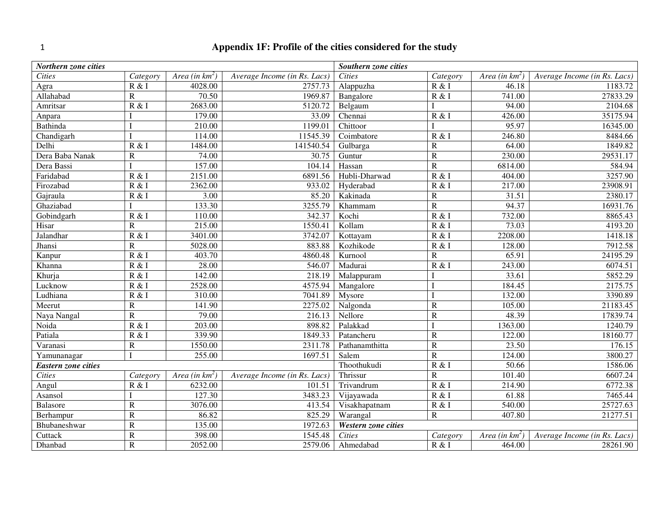# 1 **Appendix 1F: Profile of the cities considered for the study**

| Northern zone cities       |                |                   | Southern zone cities         |                     |                       |                   |                              |
|----------------------------|----------------|-------------------|------------------------------|---------------------|-----------------------|-------------------|------------------------------|
| <b>Cities</b>              | Category       | Area (in $km^2$ ) | Average Income (in Rs. Lacs) | <b>Cities</b>       | Category              | Area (in $km^2$ ) | Average Income (in Rs. Lacs) |
| Agra                       | R & I          | 4028.00           | 2757.73                      | Alappuzha           | R & I                 | 46.18             | 1183.72                      |
| Allahabad                  | $\mathbb{R}$   | 70.50             | 1969.87                      | Bangalore           | $\overline{R}$ & I    | 741.00            | 27833.29                     |
| Amritsar                   | R & I          | 2683.00           | 5120.72                      | Belgaum             |                       | 94.00             | 2104.68                      |
| Anpara                     |                | 179.00            | 33.09                        | Chennai             | R & I                 | 426.00            | 35175.94                     |
| <b>Bathinda</b>            |                | 210.00            | 1199.01                      | Chittoor            |                       | 95.97             | 16345.00                     |
| Chandigarh                 |                | 114.00            | 11545.39                     | Coimbatore          | R & I                 | 246.80            | 8484.66                      |
| Delhi                      | R & I          | 1484.00           | 141540.54                    | Gulbarga            | $\mathbf R$           | 64.00             | 1849.82                      |
| Dera Baba Nanak            | $\mathbb{R}$   | 74.00             | 30.75                        | Guntur              | $\overline{R}$        | 230.00            | 29531.17                     |
| Dera Bassi                 |                | 157.00            | 104.14                       | Hassan              | $\overline{R}$        | 6814.00           | 584.94                       |
| Faridabad                  | R & I          | 2151.00           | 6891.56                      | Hubli-Dharwad       | R & I                 | 404.00            | 3257.90                      |
| Firozabad                  | R & I          | 2362.00           | 933.02                       | Hyderabad           | R & I                 | 217.00            | 23908.91                     |
| Gajraula                   | R & I          | 3.00              | 85.20                        | Kakinada            | $\overline{R}$        | 31.51             | 2380.17                      |
| Ghaziabad                  |                | 133.30            | 3255.79                      | Khammam             | $\overline{R}$        | 94.37             | 16931.76                     |
| Gobindgarh                 | R & I          | 110.00            | 342.37                       | Kochi               | R & I                 | 732.00            | 8865.43                      |
| Hisar                      | ${\bf R}$      | 215.00            | 1550.41                      | Kollam              | R & I                 | 73.03             | 4193.20                      |
| Jalandhar                  | R & I          | 3401.00           | 3742.07                      | Kottayam            | R & I                 | 2208.00           | 1418.18                      |
| Jhansi                     | $\mathbf R$    | 5028.00           | 883.88                       | Kozhikode           | R & I                 | 128.00            | 7912.58                      |
| Kanpur                     | R & I          | 403.70            | 4860.48                      | Kurnool             | $\overline{\text{R}}$ | 65.91             | 24195.29                     |
| Khanna                     | R & I          | 28.00             | 546.07                       | Madurai             | R & I                 | 243.00            | 6074.51                      |
| Khurja                     | R & I          | 142.00            | 218.19                       | Malappuram          |                       | 33.61             | 5852.29                      |
| Lucknow                    | R & I          | 2528.00           | 4575.94                      | Mangalore           |                       | 184.45            | 2175.75                      |
| Ludhiana                   | R & I          | 310.00            | 7041.89                      | Mysore              |                       | 132.00            | 3390.89                      |
| Meerut                     | ${\bf R}$      | 141.90            | 2275.02                      | Nalgonda            | $\overline{R}$        | 105.00            | 21183.45                     |
| Naya Nangal                | $\mathbb{R}$   | 79.00             | 216.13                       | Nellore             | $\mathbf R$           | 48.39             | 17839.74                     |
| Noida                      | R & I          | 203.00            | 898.82                       | Palakkad            |                       | 1363.00           | 1240.79                      |
| Patiala                    | R & I          | 339.90            | 1849.33                      | Patancheru          | $\overline{R}$        | 122.00            | 18160.77                     |
| Varanasi                   | $\mathbf R$    | 1550.00           | 2311.78                      | Pathanamthitta      | $\overline{R}$        | 23.50             | 176.15                       |
| Yamunanagar                |                | 255.00            | 1697.51                      | Salem               | $\overline{R}$        | 124.00            | 3800.27                      |
| <b>Eastern zone cities</b> |                |                   | Thoothukudi                  | R & I               | 50.66                 | 1586.06           |                              |
| <b>Cities</b>              | Category       | Area (in $km^2$ ) | Average Income (in Rs. Lacs) | Thrissur            | $\overline{\text{R}}$ | 101.40            | 6607.24                      |
| Angul                      | R & I          | 6232.00           | 101.51                       | Trivandrum          | R & I                 | 214.90            | 6772.38                      |
| Asansol                    |                | 127.30            | 3483.23                      | Vijayawada          | R & I                 | 61.88             | 7465.44                      |
| <b>Balasore</b>            | $\overline{R}$ | 3076.00           | 413.54                       | Visakhapatnam       | R & I                 | 540.00            | 25727.63                     |
| Berhampur                  | $\mathbf R$    | 86.82             | 825.29                       | Warangal            | $\overline{R}$        | 407.80            | 21277.51                     |
| Bhubaneshwar               | ${\bf R}$      | 135.00            | 1972.63                      | Western zone cities |                       |                   |                              |
| Cuttack                    | $\mathbf R$    | 398.00            | 1545.48                      | <b>Cities</b>       | Category              | Area (in $km^2$ ) | Average Income (in Rs. Lacs) |
| Dhanbad                    | ${\bf R}$      | 2052.00           | 2579.06                      | Ahmedabad           | R & I                 | 464.00            | 28261.90                     |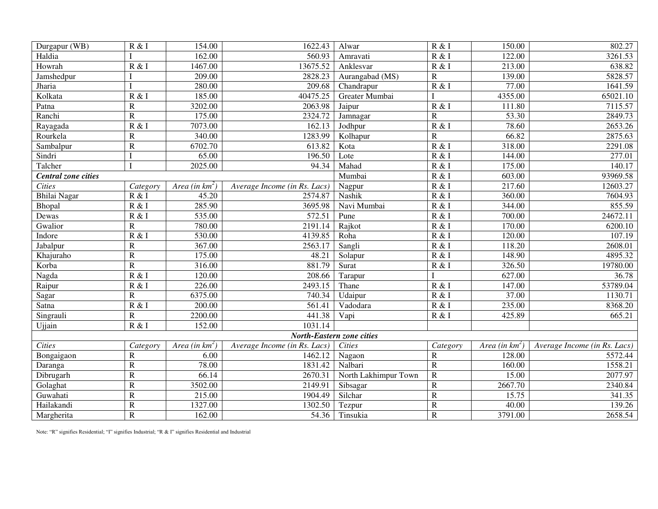| Durgapur (WB)                    | R & I                 | 154.00            | 1622.43                      | Alwar                | R & I                 | 150.00            | 802.27                       |  |  |  |
|----------------------------------|-----------------------|-------------------|------------------------------|----------------------|-----------------------|-------------------|------------------------------|--|--|--|
| Haldia                           |                       | 162.00            | 560.93                       | Amravati             | R & I                 | 122.00            | $\overline{3}261.53$         |  |  |  |
| Howrah                           | R & I                 | 1467.00           | 13675.52                     | Anklesvar            | R & I                 | 213.00            | 638.82                       |  |  |  |
| Jamshedpur                       |                       | 209.00            | 2828.23                      | Aurangabad (MS)      | $\overline{R}$        | 139.00            | 5828.57                      |  |  |  |
| Jharia                           |                       | 280.00            | 209.68                       | Chandrapur           | R & I                 | 77.00             | 1641.59                      |  |  |  |
| Kolkata                          | R & I                 | 185.00            | 40475.25                     | Greater Mumbai       |                       | 4355.00           | 65021.10                     |  |  |  |
| Patna                            | $\mathbf R$           | 3202.00           | 2063.98                      | Jaipur               | R & I                 | 111.80            | 7115.57                      |  |  |  |
| Ranchi                           | $\overline{\text{R}}$ | 175.00            | 2324.72                      | Jamnagar             | $\overline{\text{R}}$ | 53.30             | 2849.73                      |  |  |  |
| Rayagada                         | R & I                 | 7073.00           | 162.13                       | Jodhpur              | R & I                 | 78.60             | 2653.26                      |  |  |  |
| Rourkela                         | $\mathbf R$           | 340.00            | 1283.99                      | Kolhapur             | $\overline{R}$        | 66.82             | 2875.63                      |  |  |  |
| Sambalpur                        | $\mathbf R$           | 6702.70           | 613.82                       | Kota                 | R & I                 | 318.00            | 2291.08                      |  |  |  |
| Sindri                           |                       | 65.00             | 196.50                       | Lote                 | R & I                 | 144.00            | 277.01                       |  |  |  |
| Talcher                          | I                     | 2025.00           | 94.34                        | Mahad                | R & I                 | 175.00            | 140.17                       |  |  |  |
| Central zone cities              |                       |                   | Mumbai                       | R & I                | 603.00                | 93969.58          |                              |  |  |  |
| <b>Cities</b>                    | Category              | Area (in $km^2$ ) | Average Income (in Rs. Lacs) | Nagpur               | R & I                 | 217.60            | 12603.27                     |  |  |  |
| Bhilai Nagar                     | R & I                 | 45.20             | 2574.87                      | Nashik               | R & I                 | 360.00            | 7604.93                      |  |  |  |
| Bhopal                           | R & I                 | 285.90            | 3695.98                      | Navi Mumbai          | R & I                 | 344.00            | 855.59                       |  |  |  |
| Dewas                            | R & I                 | 535.00            | 572.51                       | Pune                 | R & I                 | 700.00            | 24672.11                     |  |  |  |
| Gwalior                          | ${\mathbb R}$         | 780.00            | 2191.14                      | Rajkot               | R & I                 | 170.00            | 6200.10                      |  |  |  |
| Indore                           | R & I                 | 530.00            | 4139.85                      | Roha                 | R & I                 | 120.00            | 107.19                       |  |  |  |
| Jabalpur                         | ${\mathbb R}$         | 367.00            | 2563.17                      | Sangli               | R & I                 | 118.20            | 2608.01                      |  |  |  |
| Khajuraho                        | $\overline{R}$        | 175.00            | 48.21                        | Solapur              | R & I                 | 148.90            | 4895.32                      |  |  |  |
| Korba                            | $\overline{\text{R}}$ | 316.00            | 881.79                       | Surat                | R & I                 | 326.50            | 19780.00                     |  |  |  |
| Nagda                            | R & I                 | 120.00            | 208.66                       | Tarapur              |                       | 627.00            | 36.78                        |  |  |  |
| Raipur                           | R & I                 | 226.00            | 2493.15                      | Thane                | R & I                 | 147.00            | 53789.04                     |  |  |  |
| Sagar                            | $\mathbb{R}$          | 6375.00           | 740.34                       | Udaipur              | R & I                 | 37.00             | 1130.71                      |  |  |  |
| Satna                            | R & I                 | 200.00            | 561.41                       | Vadodara             | R & I                 | 235.00            | 8368.20                      |  |  |  |
| Singrauli                        | $\mathbb{R}$          | 2200.00           | 441.38                       | Vapi                 | R & I                 | 425.89            | 665.21                       |  |  |  |
| Ujjain                           | R & I                 | 152.00            | 1031.14                      |                      |                       |                   |                              |  |  |  |
| <b>North-Eastern zone cities</b> |                       |                   |                              |                      |                       |                   |                              |  |  |  |
| <b>Cities</b>                    | Category              | Area (in $km^2$ ) | Average Income (in Rs. Lacs) | <b>Cities</b>        | Category              | Area (in $km^2$ ) | Average Income (in Rs. Lacs) |  |  |  |
| Bongaigaon                       | $\mathbb{R}$          | 6.00              | 1462.12                      | Nagaon               | $\mathbf R$           | 128.00            | 5572.44                      |  |  |  |
| Daranga                          | ${\bf R}$             | 78.00             | 1831.42                      | Nalbari              | ${\bf R}$             | 160.00            | 1558.21                      |  |  |  |
| Dibrugarh                        | $\overline{R}$        | 66.14             | 2670.31                      | North Lakhimpur Town | $\overline{R}$        | 15.00             | 2077.97                      |  |  |  |
| Golaghat                         | ${\bf R}$             | 3502.00           | 2149.91                      | Sibsagar             | $\mathbf R$           | 2667.70           | 2340.84                      |  |  |  |
| Guwahati                         | $\mathbf R$           | 215.00            | 1904.49                      | Silchar              | $\overline{R}$        | 15.75             | 341.35                       |  |  |  |
| Hailakandi                       | $\mathbf R$           | 1327.00           | 1302.50                      | Tezpur               | $\mathbf R$           | 40.00             | 139.26                       |  |  |  |
| Margherita                       | $\overline{R}$        | 162.00            | 54.36                        | Tinsukia             | $\overline{R}$        | 3791.00           | 2658.54                      |  |  |  |

Note: "R" signifies Residential; "I" signifies Industrial; "R & I" signifies Residential and Industrial